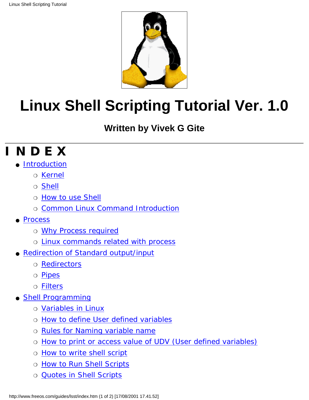

# **Linux Shell Scripting Tutorial Ver. 1.0**

## **Written by Vivek G Gite**

## **I N D E X**

- [Introduction](#page-2-0)
	- ❍ [Kernel](#page-2-0)
	- ❍ Shell
	- ❍ How to use Shell
	- ❍ Common Linux Command Introduction
- **[Process](#page-7-0)** ●
	- ❍ Why Process required
	- ❍ Linux commands related with process
- [Redirection of Standard output/input](#page-8-0)
	- ❍ [Redirectors](#page-8-1)
	- ❍ [Pipes](#page-8-0)
	- ❍ [Filters](#page-9-0)
- [Shell Programming](#page-10-0)
	- ❍ Variables in Linux
	- ❍ How to define User defined variables
	- ❍ [Rules for Naming variable name](#page-10-0)
	- ❍ How to print or access value of UDV (User defined variables)
	- o How to write shell script
	- ❍ How to Run Shell Scripts
	- ❍ Quotes in Shell Scripts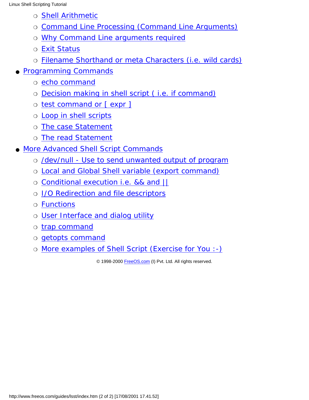- ❍ Shell Arithmetic
- ❍ Command Line Processing (Command Line Arguments)
- o Why Command Line arguments required
- ❍ Exit Status
- ❍ Filename Shorthand or meta Characters (i.e. wild cards)
- Programming Commands
	- ❍ echo command
	- ❍ Decision making in shell script ( i.e. if command)
	- ❍ test command or [ expr ]
	- ❍ Loop in shell scripts
	- ❍ The case Statement
	- ❍ The read Statement
- [More Advanced Shell Script Commands](#page-29-0)
	- o /dev/null Use to send unwanted output of program
	- ❍ Local and Global Shell variable (export command)
	- ❍ Conditional execution i.e. && and ||
	- o **I/O Redirection and file descriptors**
	- ❍ Functions
	- ❍ User Interface and dialog utility
	- o **trap command**
	- ❍ getopts command
	- ❍ More examples of Shell Script (Exercise for You :-)

© 1998-2000 [FreeOS.com](http://www.freeos.com/) (I) Pvt. Ltd. All rights reserved.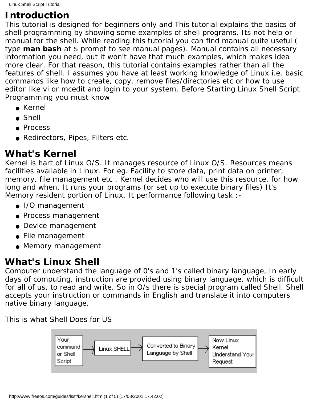### <span id="page-2-0"></span>**Introduction**

This tutorial is designed for beginners only and This tutorial explains the basics of shell programming by showing some examples of shell programs. Its not help or manual for the shell. While reading this tutorial you can find manual quite useful ( type **man bash** at \$ prompt to see manual pages). Manual contains all necessary information you need, but it won't have that much examples, which makes idea more clear. For that reason, this tutorial contains examples rather than all the features of shell. I assumes you have at least working knowledge of Linux i.e. basic commands like how to create, copy, remove files/directories etc or how to use editor like vi or mcedit and login to your system. Before Starting Linux Shell Script Programming you must know

- Kernel
- Shell
- Process
- Redirectors, Pipes, Filters etc.

### **What's Kernel**

Kernel is hart of Linux O/S. It manages resource of Linux O/S. Resources means facilities available in Linux. For eg. Facility to store data, print data on printer, memory, file management etc . Kernel decides who will use this resource, for how long and when. It runs your programs (or set up to execute binary files) It's Memory resident portion of Linux. It performance following task :-

- $\bullet$  I/O management
- Process management
- Device management
- File management
- Memory management

### **What's Linux Shell**

Computer understand the language of 0's and 1's called binary language, In early days of computing, instruction are provided using binary language, which is difficult for all of us, to read and write. So in O/s there is special program called Shell. Shell accepts your instruction or commands in English and translate it into computers native binary language.

This is what Shell Does for US

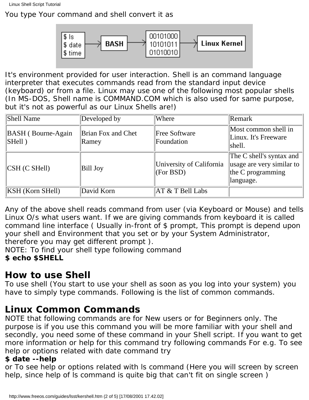### You type Your command and shell convert it as



It's environment provided for user interaction. Shell is an command language interpreter that executes commands read from the standard input device (keyboard) or from a file. Linux may use one of the following most popular shells (In MS-DOS, Shell name is COMMAND.COM which is also used for same purpose, but it's not as powerful as our Linux Shells are!)

| Shell Name                                   | Developed by                | Where                                     | Remark                                                                                  |
|----------------------------------------------|-----------------------------|-------------------------------------------|-----------------------------------------------------------------------------------------|
| <b>BASH</b> (Bourne-Again<br>$ SHe11\rangle$ | Brian Fox and Chet<br>Ramey | <b>Free Software</b><br>Foundation        | Most common shell in<br>Linux. It's Freeware<br>shell.                                  |
| $\parallel$ CSH (C SHell)                    | <b>Bill Joy</b>             | University of California<br>$ $ (For BSD) | The C shell's syntax and<br>usage are very similar to<br>the C programming<br>language. |
| KSH (Korn SHell)                             | David Korn                  | AT & T Bell Labs                          |                                                                                         |

Any of the above shell reads command from user (via Keyboard or Mouse) and tells Linux O/s what users want. If we are giving commands from keyboard it is called command line interface ( Usually in-front of \$ prompt, This prompt is depend upon your shell and Environment that you set or by your System Administrator, therefore you may get different prompt ).

NOTE: To find your shell type following command **\$ echo \$SHELL**

### **How to use Shell**

To use shell (You start to use your shell as soon as you log into your system) you have to simply type commands. Following is the list of common commands.

### **Linux Common Commands**

NOTE that following commands are for New users or for Beginners only. The purpose is if you use this command you will be more familiar with your shell and secondly, you need some of these command in your Shell script. If you want to get more information or help for this command try following commands For e.g. To see help or options related with date command try

### **\$ date --help**

or To see help or options related with ls command (Here you will screen by screen help, since help of Is command is quite big that can't fit on single screen)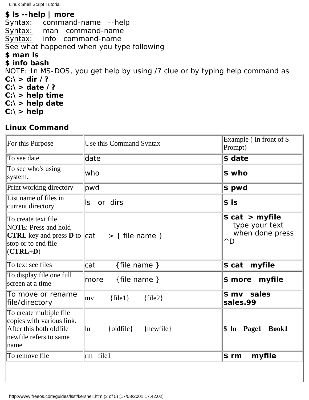**\$ ls --help | more**

Syntax: *command-name --help*

Syntax: *man command-name*

Syntax: *info command-name*

See what happened when you type following

### **\$ man ls**

### **\$ info bash**

NOTE: In MS-DOS, you get help by using /? clue or by typing help command as **C:\> dir /?**

- **C:\> date /?**
- **C:\> help time**
- **C:\> help date**
- **C:\> help**

### **Linux Command**

| For this Purpose                                                                                                                                 | Use this Command Syntax           | Example (In front of \$<br>Prompt)                                   |
|--------------------------------------------------------------------------------------------------------------------------------------------------|-----------------------------------|----------------------------------------------------------------------|
| To see date                                                                                                                                      | date                              | \$ date                                                              |
| To see who's using<br>system.                                                                                                                    | who                               | <b>S</b> who                                                         |
| Print working directory                                                                                                                          | pwd                               | \$ pwd                                                               |
| List name of files in<br>current directory                                                                                                       | or dirs<br>ls                     | \$ ls                                                                |
| To create text file<br><b>NOTE: Press and hold</b><br><b>CTRL</b> key and press <b>D</b> to $\ $ <b>cat</b><br>stop or to end file<br>$(CTRL+D)$ | $>$ { file name }                 | \$cat > myfile<br>type your text<br>when done press<br>$^{\wedge}$ D |
| To text see files                                                                                                                                | { file name }<br>cat              | \$ cat myfile                                                        |
| To display file one full<br>screen at a time                                                                                                     | { file name $\}$<br>more          | <b>\$</b> more myfile                                                |
| To move or rename<br>file/directory                                                                                                              | $\{file1\}$<br>$\{file2\}$<br> mv | \$ mv sales<br>sales.99                                              |
| To create multiple file<br>copies with various link.<br>After this both oldfile<br>newfile refers to same<br>name                                | $\{oldfile\}$ {newfile}<br>$\ln$  | \$ In Page1 Book1                                                    |
| To remove file                                                                                                                                   | m file1                           | \$ rm<br>myfile                                                      |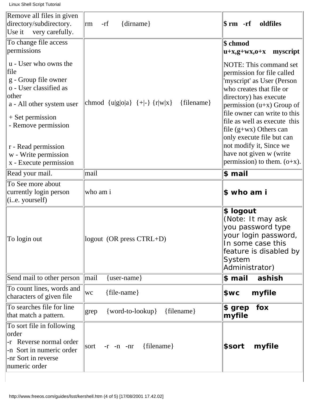Linux Shell Script Tutorial

| Remove all files in given<br>directory/subdirectory.<br>Use it very carefully.                                                                                                                                                                                                     | $-rf$<br>${dimame}$<br>rm                        | $\sin$ -rf<br>oldfiles                                                                                                                                                                                                                                                                                                                                                                                                               |
|------------------------------------------------------------------------------------------------------------------------------------------------------------------------------------------------------------------------------------------------------------------------------------|--------------------------------------------------|--------------------------------------------------------------------------------------------------------------------------------------------------------------------------------------------------------------------------------------------------------------------------------------------------------------------------------------------------------------------------------------------------------------------------------------|
| To change file access<br>permissions<br>u - User who owns the<br> file<br>g - Group file owner<br>o - User classified as<br>other<br>a - All other system user<br>+ Set permission<br>- Remove permission<br>r - Read permission<br>w - Write permission<br>x - Execute permission | $\{filename\}$<br> chmod {u g o a} {+ -} {r w x} | \$ chmod<br>myscript<br>$u+x, g+wx, o+x$<br>NOTE: This command set<br>permission for file called<br>'myscript' as User (Person<br>who creates that file or<br>directory) has execute<br>permission $(u+x)$ Group of<br>file owner can write to this<br>file as well as execute this<br>file $(g+wx)$ Others can<br>only execute file but can<br>not modify it, Since we<br>have not given w (write<br>permission) to them. $(o+x)$ . |
| Read your mail.                                                                                                                                                                                                                                                                    | mail                                             | \$ mail                                                                                                                                                                                                                                                                                                                                                                                                                              |
| To See more about<br>currently login person<br>(i.e. yourself)                                                                                                                                                                                                                     | who am i                                         | \$ who am i                                                                                                                                                                                                                                                                                                                                                                                                                          |
| To login out                                                                                                                                                                                                                                                                       | $\log_{\theta}$ (OR press CTRL+D)                | \$ logout<br>(Note: It may ask<br>you password type<br>your login password,<br>In some case this<br>feature is disabled by<br><b>System</b><br>Administrator)                                                                                                                                                                                                                                                                        |
| Send mail to other person                                                                                                                                                                                                                                                          | mail<br>$\{user-name\}$                          | \$ mail<br>ashish                                                                                                                                                                                                                                                                                                                                                                                                                    |
| To count lines, words and<br>characters of given file                                                                                                                                                                                                                              | $\{file-name\}$<br>$ {\mathrm{wc}} $             | myfile<br><b>Swc</b>                                                                                                                                                                                                                                                                                                                                                                                                                 |
| To searches file for line<br>that match a pattern.                                                                                                                                                                                                                                 | $\{word-to-lookup\}$<br>$\{filename\}$<br>grep   | fox<br><b>S</b> grep<br>myfile                                                                                                                                                                                                                                                                                                                                                                                                       |
| To sort file in following<br>order<br>-r Reverse normal order<br>-n Sort in numeric order<br>-nr Sort in reverse<br>numeric order                                                                                                                                                  | $\{filename\}$<br>$-r - n - nr$<br>sort          | myfile<br><b>Ssort</b>                                                                                                                                                                                                                                                                                                                                                                                                               |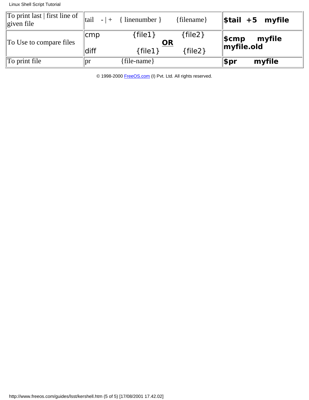| $\int \frac{\overline{\text{To}} \text{print last}}{\text{dist}}$ first line of $\int \frac{\overline{\text{tail}}}{\text{tail}}$<br>$\left\ $ given file |              | $- + \{ linearumber \}$          | { $filename$ }             | $\ \$ stail +5 myfile         |
|-----------------------------------------------------------------------------------------------------------------------------------------------------------|--------------|----------------------------------|----------------------------|-------------------------------|
| To Use to compare files                                                                                                                                   | cmp <br>diff | $\{file1\}$<br>OR<br>$\{file1\}$ | $\{file2\}$<br>$\{file2\}$ | myfile<br> Scmp<br>myfile.old |
| $\ $ To print file                                                                                                                                        | pr           | $\{file-name\}$                  |                            | myfile<br> Spr                |

© 1998-2000 [FreeOS.com](http://www.freeos.com/) (I) Pvt. Ltd. All rights reserved.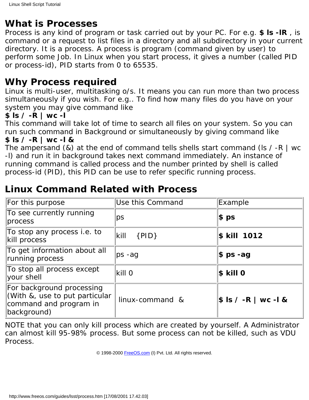### <span id="page-7-0"></span>**What is Processes**

Process is any kind of program or task carried out by your PC. For e.g. **\$ ls -lR** , is command or a request to list files in a directory and all subdirectory in your current directory. It is a process. A process is program (command given by user) to perform some Job. In Linux when you start process, it gives a number (called PID or process-id), PID starts from 0 to 65535.

### **Why Process required**

Linux is multi-user, multitasking o/s. It means you can run more than two process simultaneously if you wish. For e.g.. To find how many files do you have on your system you may give command like

**\$ ls / -R | wc -l**

This command will take lot of time to search all files on your system. So you can run such command in Background or simultaneously by giving command like **\$ ls / -R | wc -l &**

The ampersand (&) at the end of command tells shells start command (ls  $/$  -R | wc -l) and run it in background takes next command immediately. An instance of running command is called process and the number printed by shell is called process-id (PID), this PID can be use to refer specific running process.

### **Linux Command Related with Process**

| For this purpose                                                                                     | Use this Command  | Example                             |
|------------------------------------------------------------------------------------------------------|-------------------|-------------------------------------|
| To see currently running<br>process                                                                  | ps                | $ \mathbf{S} \mathbf{p}\mathbf{s} $ |
| To stop any process i.e. to<br>kill process                                                          | kill<br>$\{PID\}$ | <b>\$ kill 1012</b>                 |
| To get information about all<br>running process                                                      | $ $ ps -ag        | $\vert$ S ps -ag                    |
| To stop all process except<br>your shell                                                             | kill 0            | \$ kill 0                           |
| For background processing<br>(With &, use to put particular<br>command and program in<br>background) | linux-command &   | $ \$$ ls $\angle$ -R $ $ wc -l &    |

NOTE that you can only kill process which are created by yourself. A Administrator can almost kill 95-98% process. But some process can not be killed, such as VDU Process.

© 1998-2000 [FreeOS.com](http://www.freeos.com/) (I) Pvt. Ltd. All rights reserved.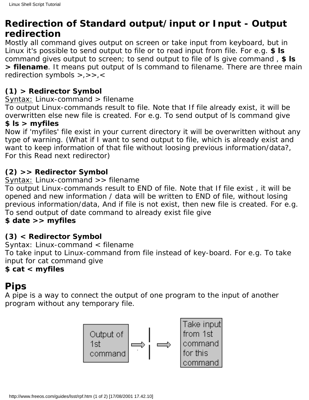### <span id="page-8-1"></span><span id="page-8-0"></span>**Redirection of Standard output/input or Input - Output redirection**

Mostly all command gives output on screen or take input from keyboard, but in Linux it's possible to send output to file or to read input from file. For e.g. **\$ ls** command gives output to screen; to send output to file of ls give command , **\$ ls > filename**. It means put output of ls command to filename. There are three main redirection symbols >,>>,<

### **(1) > Redirector Symbol**

### Syntax: *Linux-command > filename*

To output Linux-commands result to file. Note that If file already exist, it will be overwritten else new file is created. For e.g. To send output of ls command give **\$ ls > myfiles**

Now if 'myfiles' file exist in your current directory it will be overwritten without any type of warning. (What if I want to send output to file, which is already exist and want to keep information of that file without loosing previous information/data?, For this Read next redirector)

### **(2) >> Redirector Symbol**

#### Syntax: *Linux-command >> filename*

To output Linux-commands result to END of file. Note that If file exist , it will be opened and new information / data will be written to END of file, without losing previous information/data, And if file is not exist, then new file is created. For e.g. To send output of date command to already exist file give

#### **\$ date >> myfiles**

### **(3) < Redirector Symbol**

Syntax: *Linux-command < filename*

To take input to Linux-command from file instead of key-board. For e.g. To take input for cat command give

#### **\$ cat < myfiles**

### **Pips**

A pipe is a way to connect the output of one program to the input of another program without any temporary file.

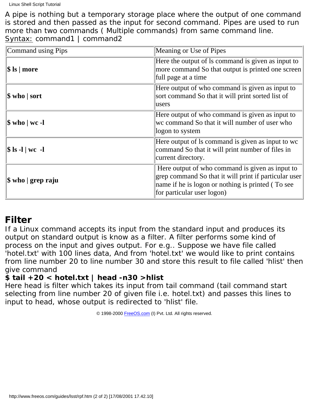A pipe is nothing but a temporary storage place where the output of one command is stored and then passed as the input for second command. Pipes are used to run more than two commands ( Multiple commands) from same command line. Syntax: *command1 | command2*

| Command using Pips  | Meaning or Use of Pipes                                                                                                                                                                     |
|---------------------|---------------------------------------------------------------------------------------------------------------------------------------------------------------------------------------------|
| $ \$$ ls $ $ more   | Here the output of ls command is given as input to<br>more command So that output is printed one screen<br>full page at a time                                                              |
| $ \$$ who $ \$ sort | Here output of who command is given as input to<br>sort command So that it will print sorted list of<br>users                                                                               |
| $ \$$ who $ $ wc -l | Here output of who command is given as input to<br>we command So that it will number of user who<br>logon to system                                                                         |
| $ \$$ ls -l   wc -l | Here output of ls command is given as input to we<br>command So that it will print number of files in<br>current directory.                                                                 |
| \$ who   grep raju  | Here output of who command is given as input to<br>grep command So that it will print if particular user<br>name if he is logon or nothing is printed (To see<br>for particular user logon) |

### <span id="page-9-0"></span>**Filter**

If a Linux command accepts its input from the standard input and produces its output on standard output is know as a filter. A filter performs some kind of process on the input and gives output. For e.g.. Suppose we have file called 'hotel.txt' with 100 lines data, And from 'hotel.txt' we would like to print contains from line number 20 to line number 30 and store this result to file called 'hlist' then give command

### **\$ tail +20 < hotel.txt | head -n30 >hlist**

Here head is filter which takes its input from tail command (tail command start selecting from line number 20 of given file i.e. hotel.txt) and passes this lines to input to head, whose output is redirected to 'hlist' file.

© 1998-2000 [FreeOS.com](http://www.freeos.com/) (I) Pvt. Ltd. All rights reserved.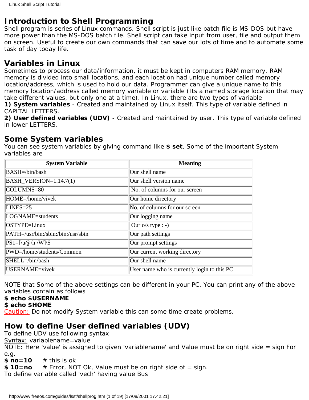### <span id="page-10-0"></span>**Introduction to Shell Programming**

Shell program is series of Linux commands. Shell script is just like batch file is MS-DOS but have more power than the MS-DOS batch file. Shell script can take input from user, file and output them on screen. Useful to create our own commands that can save our lots of time and to automate some task of day today life.

### **Variables in Linux**

Sometimes to process our data/information, it must be kept in computers RAM memory. RAM memory is divided into small locations, and each location had unique number called memory location/address, which is used to hold our data. Programmer can give a unique name to this memory location/address called memory variable or variable (Its a named storage location that may take different values, but only one at a time). In Linux, there are two types of variable **1) System variables** - Created and maintained by Linux itself. This type of variable defined in CAPITAL LETTERS.

**2) User defined variables (UDV)** - Created and maintained by user. This type of variable defined in lower LETTERS.

### **Some System variables**

You can see system variables by giving command like **\$ set**, Some of the important System variables are

| <b>System Variable</b>             | <b>Meaning</b>                              |
|------------------------------------|---------------------------------------------|
| BASH=/bin/bash                     | Our shell name                              |
| $BASH_VERSION=1.14.7(1)$           | Our shell version name                      |
| COLUMNS=80                         | No. of columns for our screen               |
| HOME=/home/vivek                   | Our home directory                          |
| $LLINES = 25$                      | No. of columns for our screen               |
| LOGNAME=students                   | Our logging name                            |
| OSTYPE=Linux                       | Our $o/s$ type : -)                         |
| PATH=/usr/bin:/sbin:/bin:/usr/sbin | Our path settings                           |
| $PS1=[\u@\h\ W]\$                  | Our prompt settings                         |
| PWD=/home/students/Common          | Our current working directory               |
| SHELL=/bin/bash                    | Our shell name                              |
| USERNAME=vivek                     | User name who is currently login to this PC |

NOTE that Some of the above settings can be different in your PC. You can print any of the above variables contain as follows

#### **\$ echo \$USERNAME**

**\$ echo \$HOME**

Caution: Do not modify System variable this can some time create problems.

### **How to define User defined variables (UDV)**

To define UDV use following syntax

Syntax: *variablename=value*

NOTE: Here 'value' is assigned to given 'variablename' and Value must be on right side = sign For e.g.

**\$** no=10  $\#$  this is ok

**\$ 10=no** # Error, NOT Ok, Value must be on right side of = sign.

To define variable called 'vech' having value Bus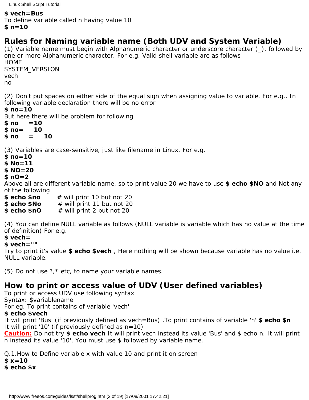#### **\$ vech=Bus**

To define variable called n having value 10 **\$ n=10**

### **Rules for Naming variable name (Both UDV and System Variable)**

(1) Variable name must begin with Alphanumeric character or underscore character (\_), followed by one or more Alphanumeric character. For e.g. Valid shell variable are as follows HOME

```
SYSTEM_VERSION
vech
no
```
(2) Don't put spaces on either side of the equal sign when assigning value to variable. For e.g.. In following variable declaration there will be no error

#### **\$ no=10**

But here there will be problem for following

 $\sin \theta = 10$ **\$ no= 10**  $\sin \theta = 10$ 

(3) Variables are case-sensitive, just like filename in Linux. For e.g.

**\$ no=10**

**\$ No=11**

**\$ NO=20**

```
$ nO=2
```
Above all are different variable name, so to print value 20 we have to use **\$ echo \$NO** and Not any of the following

**\$ echo \$no** # will print 10 but not 20 **\$ echo \$No** # will print 11 but not 20 **\$ echo \$n0** # will print 2 but not 20

(4) You can define NULL variable as follows (NULL variable is variable which has no value at the time of definition) For e.g.

#### **\$ vech=**

```
$ vech=""
```
Try to print it's value **\$ echo \$vech** , Here nothing will be shown because variable has no value i.e. NULL variable.

(5) Do not use ?,\* etc, to name your variable names.

### **How to print or access value of UDV (User defined variables)**

To print or access UDV use following syntax Syntax: *\$variablename* For eg. To print contains of variable 'vech'

**\$ echo \$vech**

It will print 'Bus' (if previously defined as vech=Bus) ,To print contains of variable 'n' **\$ echo \$n** It will print '10' (if previously defined as  $n=10$ )

**Caution:** Do not try **\$ echo vech** It will print vech instead its value 'Bus' and \$ echo n, It will print n instead its value '10', You must use \$ followed by variable name.

Q.1.How to Define variable x with value 10 and print it on screen **\$ x=10 \$ echo \$x**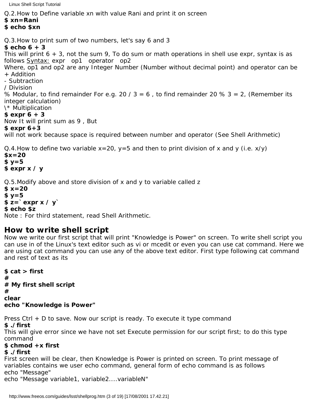Q.2.How to Define variable xn with value Rani and print it on screen

- **\$ xn=Rani**
- **\$ echo \$xn**

Q.3.How to print sum of two numbers, let's say 6 and 3

**\$ echo 6 + 3**

This will print  $6 + 3$ , not the sum 9, To do sum or math operations in shell use expr, syntax is as follows Syntax: *expr op1 operator op2*

Where, op1 and op2 are any Integer Number (Number without decimal point) and operator can be + Addition

- Subtraction

/ Division

% Modular, to find remainder For e.g. 20 / 3 = 6, to find remainder 20 % 3 = 2, (Remember its integer calculation)

#### \\* Multiplication **\$ expr 6 + 3**

Now It will print sum as 9 , But

#### **\$ expr 6+3**

will not work because space is required between number and operator (See Shell Arithmetic)

Q.4.How to define two variable  $x=20$ ,  $y=5$  and then to print division of x and y (i.e.  $x/y$ )

**\$x=20 \$ y=5 \$ expr x / y**

Q.5.Modify above and store division of x and y to variable called z

```
$ x=20
$ y=5
$ z=`expr x / y`
$ echo $z
```
Note : For third statement, read Shell Arithmetic.

### **How to write shell script**

Now we write our first script that will print "Knowledge is Power" on screen. To write shell script you can use in of the Linux's text editor such as vi or mcedit or even you can use cat command. Here we are using cat command you can use any of the above text editor. First type following cat command and rest of text as its

```
$ cat > first
#
# My first shell script
#
clear
echo "Knowledge is Power"
```
Press Ctrl + D to save. Now our script is ready. To execute it type command **\$ ./first**

This will give error since we have not set Execute permission for our script first; to do this type command

### **\$ chmod +x first**

#### **\$ ./first**

First screen will be clear, then Knowledge is Power is printed on screen. To print message of variables contains we user echo command, general form of echo command is as follows *echo "Message"*

*echo "Message variable1, variable2....variableN"*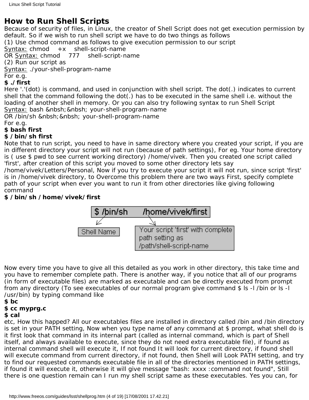### **How to Run Shell Scripts**

Because of security of files, in Linux, the creator of Shell Script does not get execution permission by default. So if we wish to run shell script we have to do two things as follows

(1) Use chmod command as follows to give execution permission to our script

Syntax: *chmod +x shell-script-name*

OR Syntax: *chmod 777 shell-script-name*

(2) Run our script as

Syntax: *./your-shell-program-name*

For e.g.

#### **\$ ./first**

Here '.'(dot) is command, and used in conjunction with shell script. The dot(.) indicates to current shell that the command following the dot(.) has to be executed in the same shell i.e. without the loading of another shell in memory. Or you can also try following syntax to run Shell Script Syntax: *bash &nbsh;&nbsh; your-shell-program-name*

OR */bin/sh &nbsh;&nbsh; your-shell-program-name*

For e.g.

#### **\$ bash first**

#### **\$ /bin/sh first**

Note that to run script, you need to have in same directory where you created your script, if you are in different directory your script will not run (because of path settings), For eg. Your home directory is ( use \$ pwd to see current working directory) /home/vivek. Then you created one script called 'first', after creation of this script you moved to some other directory lets say

/home/vivek/Letters/Personal, Now if you try to execute your script it will not run, since script 'first' is in /home/vivek directory, to Overcome this problem there are two ways First, specify complete path of your script when ever you want to run it from other directories like giving following command

#### **\$ /bin/sh /home/vivek/first**



Now every time you have to give all this detailed as you work in other directory, this take time and you have to remember complete path. There is another way, if you notice that all of our programs (in form of executable files) are marked as executable and can be directly executed from prompt from any directory (To see executables of our normal program give command \$ ls -l /bin or ls -l /usr/bin) by typing command like

#### **\$ bc**

#### **\$ cc myprg.c**

#### **\$ cal**

etc, How this happed? All our executables files are installed in directory called /bin and /bin directory is set in your PATH setting, Now when you type name of any command at \$ prompt, what shell do is it first look that command in its internal part (called as internal command, which is part of Shell itself, and always available to execute, since they do not need extra executable file), if found as internal command shell will execute it, If not found It will look for current directory, if found shell will execute command from current directory, if not found, then Shell will Look PATH setting, and try to find our requested commands executable file in all of the directories mentioned in PATH settings, if found it will execute it, otherwise it will give message "bash: xxxx :command not found", Still there is one question remain can I run my shell script same as these executables. Yes you can, for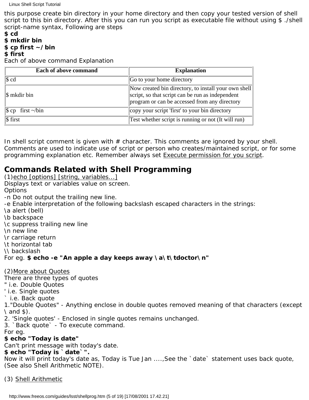this purpose create bin directory in your home directory and then copy your tested version of shell script to this bin directory. After this you can run you script as executable file without using \$ ./shell script-name syntax, Following are steps

#### **\$ cd \$ mkdir bin \$ cp first ~/bin \$ first** Each of above command Explanation

| <b>Each of above command</b>  | <b>Explanation</b>                                                                                                                                        |
|-------------------------------|-----------------------------------------------------------------------------------------------------------------------------------------------------------|
| $\vert \mathsf{S} \vert$ cd   | <b>Go to your home directory</b>                                                                                                                          |
| \$\\ mkdir bin                | Now created bin directory, to install your own shell<br>script, so that script can be run as independent<br>program or can be accessed from any directory |
| $ \$$ cp<br>first $\sim$ /bin | copy your script 'first' to your bin directory                                                                                                            |
| $\sqrt{\$$ first              | Test whether script is running or not (It will run)                                                                                                       |

In shell script comment is given with # character. This comments are ignored by your shell. Comments are used to indicate use of script or person who creates/maintained script, or for some programming explanation etc. Remember always set *Execute permission for you script*.

### **Commands Related with Shell Programming**

(1)*echo [options] [string, variables...]* Displays text or variables value on screen. **Options** -n Do not output the trailing new line. -e Enable interpretation of the following backslash escaped characters in the strings: \a alert (bell) \b backspace \c suppress trailing new line \n new line \r carriage return \t horizontal tab \\ backslash For eg. **\$ echo -e "An apple a day keeps away \a\t\tdoctor\n"** (2)*More about Quotes* There are three types of quotes " i.e. Double Quotes ' i.e. Single quotes ` i.e. Back quote 1."Double Quotes" - Anything enclose in double quotes removed meaning of that characters (except  $\langle$  and S). 2. 'Single quotes' - Enclosed in single quotes remains unchanged. 3. `Back quote` - To execute command. For eg.

**\$ echo "Today is date"**

Can't print message with today's date.

#### **\$ echo "Today is `date`".**

Now it will print today's date as, Today is Tue Jan ....,See the `date` statement uses back quote, (See also Shell Arithmetic NOTE).

(3) *Shell Arithmetic*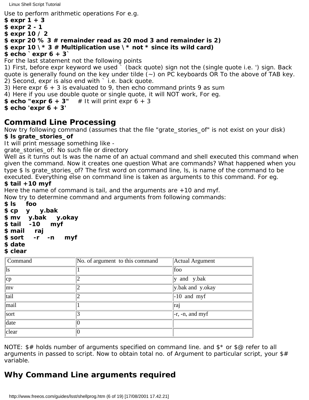Use to perform arithmetic operations For e.g.

**\$ expr 1 + 3 \$ expr 2 - 1 \$ expr 10 / 2 \$ expr 20 % 3 # remainder read as 20 mod 3 and remainder is 2) \$ expr 10 \\* 3 # Multiplication use \\* not \* since its wild card) \$ echo `expr 6 + 3`** For the last statement not the following points 1) First, before expr keyword we used ` (back quote) sign not the (single quote i.e. ') sign. Back quote is generally found on the key under tilde (~) on PC keyboards OR To the above of TAB key. 2) Second, expr is also end with ` i.e. back quote.

3) Here expr  $6 + 3$  is evaluated to 9, then echo command prints 9 as sum

4) Here if you use double quote or single quote, it will NOT work, For eg.

**\$ echo "expr 6 + 3"**  $\#$  It will print expr 6 + 3

**\$ echo 'expr 6 + 3'**

#### **Command Line Processing**

Now try following command (assumes that the file "grate\_stories\_of" is not exist on your disk) **\$ ls grate\_stories\_of**

It will print message something like -

grate\_stories\_of: No such file or directory

Well as it turns out ls was the name of an actual command and shell executed this command when given the command. Now it creates one question What are commands? What happened when you type \$ ls grate\_stories\_of? The first word on command line, ls, is name of the command to be executed. Everything else on command line is taken as arguments to this command. For eg. **\$ tail +10 myf**

Here the name of command is tail, and the arguments are  $+10$  and myf. Now try to determine command and arguments from following commands:

```
$ ls foo
$ cp y y.bak
$ mv y.bak y.okay
$ tail -10 myf
$ mail raj
$ sort -r -n myf
$ date
$ clear
```

| Command    | No. of argument to this command | Actual Argument         |
|------------|---------------------------------|-------------------------|
| $\vert$ ls |                                 | foo                     |
| cp         |                                 | y and y.bak             |
| mv         |                                 | y.bak and y.okay        |
| tail       |                                 | $-10$ and myf           |
| mail       |                                 | raj                     |
| sort       |                                 | $\vert$ -r, -n, and myf |
| date       |                                 |                         |
| clear      |                                 |                         |

NOTE: \$# holds number of arguments specified on command line. and \$\* or \$@ refer to all arguments in passed to script. Now to obtain total no. of Argument to particular script, your \$# variable.

### **Why Command Line arguments required**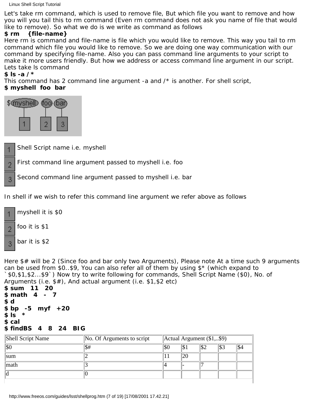Let's take rm command, which is used to remove file, But which file you want to remove and how you will you tail this to rm command (Even rm command does not ask you name of file that would like to remove). So what we do is we write as command as follows

#### **\$ rm {file-name}**

Here rm is command and file-name is file which you would like to remove. This way you tail to rm command which file you would like to remove. So we are doing one way communication with our command by specifying file-name. Also you can pass command line arguments to your script to make it more users friendly. But how we address or access command line argument in our script. Lets take ls command

#### **\$ ls -a /\***

This command has 2 command line argument -a and /\* is another. For shell script, **\$ myshell foo bar**



- Shell Script name i.e. myshell  $\overline{1}$
- First command line argument passed to myshell i.e. foo  $\overline{2}$
- Second command line argument passed to myshell i.e. bar

In shell if we wish to refer this command line argument we refer above as follows

| myshell it is \$0 |
|-------------------|
| foo it is \$1     |
| $bar$ it is $$2$  |

Here \$# will be 2 (Since foo and bar only two Arguments), Please note At a time such 9 arguments can be used from \$0..\$9, You can also refer all of them by using \$\* (which expand to `\$0,\$1,\$2...\$9`) Now try to write following for commands, Shell Script Name (\$0), No. of

```
Arguments (i.e. $#), And actual argument (i.e. $1,$2 etc)
$ sum 11 20
$ math 4 - 7
$ d
$ bp -5 myf +20
$ ls *
$ cal
```
#### **\$ findBS 4 8 24 BIG**

| Shell Script Name         | $\vert$ No. Of Arguments to script | $\vert$ Actual Argument (\$1,\$9) |         |     |     |     |
|---------------------------|------------------------------------|-----------------------------------|---------|-----|-----|-----|
| $\overline{\mathbb{S}^0}$ |                                    | ∪טו                               | $ \$_]$ | \$2 | \$3 | WH. |
| <b>Sum</b>                |                                    |                                   | 20      |     |     |     |
| math                      |                                    |                                   |         |     |     |     |
|                           |                                    |                                   |         |     |     |     |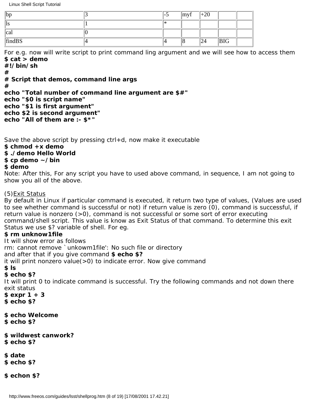| bp            | ت−ا | $\vert$ myf | $ +20$ |            |  |
|---------------|-----|-------------|--------|------------|--|
| $\ $          | l∗  |             |        |            |  |
| cal           |     |             |        |            |  |
| <b>findBS</b> |     | ١O          | 24     | <b>BIG</b> |  |

For e.g. now will write script to print command ling argument and we will see how to access them **\$ cat > demo**

```
#!/bin/sh
#
```
**# Script that demos, command line args**

```
#
```
**echo "Total number of command line argument are \$#" echo "\$0 is script name" echo "\$1 is first argument" echo \$2 is second argument" echo "All of them are :- \$\*"**

Save the above script by pressing ctrl+d, now make it executable

#### **\$ chmod +x demo**

#### **\$ ./demo Hello World**

#### **\$ cp demo ~/bin**

#### **\$ demo**

Note: After this, For any script you have to used above command, in sequence, I am not going to show you all of the above.

#### (5)*Exit Status*

By default in Linux if particular command is executed, it return two type of values, (Values are used to see whether command is successful or not) if return value is zero (0), command is successful, if return value is nonzero (>0), command is not successful or some sort of error executing command/shell script. This value is know as Exit Status of that command. To determine this exit Status we use \$? variable of shell. For eg.

#### **\$ rm unknow1file**

It will show error as follows rm: cannot remove `unkowm1file': No such file or directory and after that if you give command **\$ echo \$?** it will print nonzero value $(>0)$  to indicate error. Now give command

**\$ ls**

### **\$ echo \$?**

It will print 0 to indicate command is successful. Try the following commands and not down there exit status

```
$ expr 1 + 3
$ echo $?
```
**\$ echo Welcome \$ echo \$?**

```
$ wildwest canwork?
$ echo $?
```

```
$ date
```
**\$ echo \$?**

```
$ echon $?
```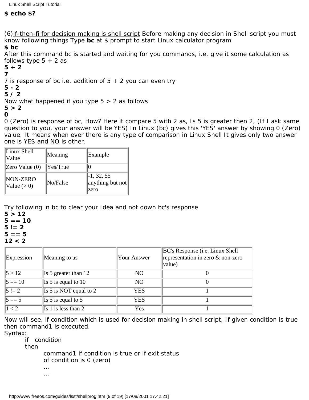#### **\$ echo \$?**

(6)*if-then-fi for decision making is shell script* Before making any decision in Shell script you must know following things Type **bc** at \$ prompt to start Linux calculator program

#### **\$ bc**

After this command bc is started and waiting for you commands, i.e. give it some calculation as follows type  $5 + 2$  as

 $5 + 2$ 

**7**

7 is response of bc i.e. addition of  $5 + 2$  you can even try

- **5 2**
- **5 / 2**

Now what happened if you type  $5 > 2$  as follows

- $5 > 2$
- **0**

0 (Zero) is response of bc, How? Here it compare 5 with 2 as, Is 5 is greater then 2, (If I ask same question to you, your answer will be YES) In Linux (bc) gives this 'YES' answer by showing 0 (Zero) value. It means when ever there is any type of comparison in Linux Shell It gives only two answer one is YES and NO is other.

| Linux Shell<br>Value                    | Meaning  | Example                                         |
|-----------------------------------------|----------|-------------------------------------------------|
| $\chi$ Zero Value $(0)$                 | Yes/True |                                                 |
| <b>NON-ZERO</b><br>$\text{Value} (> 0)$ | No/False | $-1, 32, 55$<br>anything but not<br><b>zero</b> |

Try following in bc to clear your Idea and not down bc's response

| Expression | Meaning to us                     | <b>Your Answer</b> | BC's Response ( <i>i.e.</i> Linux Shell<br>representation in zero & non-zero<br>$\vert$ value) |
|------------|-----------------------------------|--------------------|------------------------------------------------------------------------------------------------|
| 5 > 12     | Is 5 greater than $12$            | NO.                |                                                                                                |
| $5 = 10$   | $\vert$ Is 5 is equal to 10       | N <sub>O</sub>     |                                                                                                |
| $5! = 2$   | $\vert$ Is 5 is NOT equal to 2    | <b>YES</b>         |                                                                                                |
| $5 = 5$    | Is 5 is equal to 5                | <b>YES</b>         |                                                                                                |
| $\sqrt{1}$ | $\overline{Is\ 1}$ is less than 2 | Yes                |                                                                                                |

Now will see, if condition which is used for decision making in shell script, If given condition is true then command1 is executed.

Syntax:

 *if condition*

 *then*

 *command1 if condition is true or if exit status of condition is 0 (zero)*

 *... ...*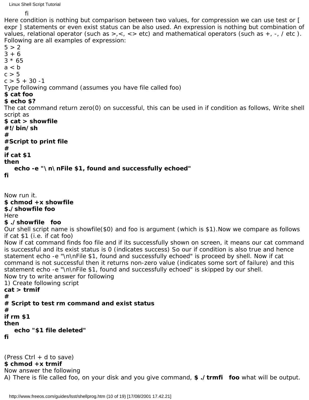#### *fi*

Here *condition* is nothing but comparison between two values, for compression we can use test or [ expr ] statements or even exist status can be also used. An *expression* is nothing but combination of values, relational operator (such as  $>$ , $<$ ,  $<$   $>$  etc) and mathematical operators (such as  $+$ ,  $-$ ,  $/$  etc). Following are all examples of expression:

```
5 > 23 + 63 * 65
a < bc > 5c > 5 + 30 - 1Type following command (assumes you have file called foo)
$ cat foo
$ echo $?
The cat command return zero(0) on successful, this can be used in if condition as follows, Write shell
script as
$ cat > showfile
#!/bin/sh
#
#Script to print file
#
if cat $1
then
    echo -e "\n\nFile $1, found and successfully echoed"
fi
Now run it.
$ chmod +x showfile
$./showfile foo
Here
$ ./showfile foo
Our shell script name is showfile($0) and foo is argument (which is $1).Now we compare as follows
if cat $1 (i.e. if cat foo)
Now if cat command finds foo file and if its successfully shown on screen, it means our cat command
is successful and its exist status is 0 (indicates success) So our if condition is also true and hence
statement echo -e "\n\nFile $1, found and successfully echoed" is proceed by shell. Now if cat
command is not successful then it returns non-zero value (indicates some sort of failure) and this
statement echo -e "\n\nFile $1, found and successfully echoed" is skipped by our shell.
Now try to write answer for following
1) Create following script
cat > trmif
#
# Script to test rm command and exist status
#
if rm $1
then
    echo "$1 file deleted"
```
**fi**

(Press Ctrl + d to save) **\$ chmod +x trmif** Now answer the following A) There is file called foo, on your disk and you give command, **\$ ./trmfi foo** what will be output.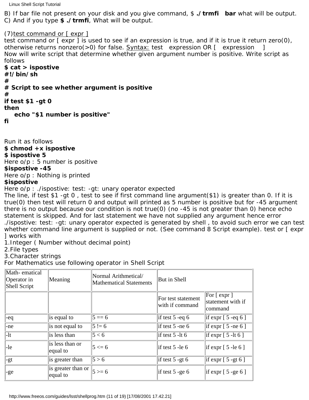B) If bar file not present on your disk and you give command, \$ **./trmfi bar** what will be output. C) And if you type **\$ ./trmfi**, What will be output.

(7)*test command or [ expr ]*

test command or [ expr ] is used to see if an expression is true, and if it is true it return zero(0), otherwise returns nonzero(>0) for false. Syntax: *test expression* OR *[ expression ]* Now will write script that determine whether given argument number is positive. Write script as follows

```
$ cat > ispostive
#!/bin/sh
#
# Script to see whether argument is positive
#
if test $1 -gt 0
then
    echo "$1 number is positive"
fi
```
Run it as follows

**\$ chmod +x ispostive**

**\$ ispostive 5**

Here  $o/p : 5$  number is positive

#### **\$ispostive -45**

Here o/p : Nothing is printed

#### **\$ispostive**

Here o/p : ./ispostive: test: -gt: unary operator expected

The line, if test  $$1$  -gt  $0$ , test to see if first command line argument( $$1)$  is greater than  $0$ . If it is true(0) then test will return 0 and output will printed as 5 number is positive but for -45 argument there is no output because our condition is not true(0) (no  $-45$  is not greater than 0) hence echo statement is skipped. And for last statement we have not supplied any argument hence error ./ispostive: test: -gt: unary operator expected is generated by shell , to avoid such error we can test whether command line argument is supplied or not. (See command 8 Script example). test or [ expr ] works with

1.Integer ( Number without decimal point)

2.File types

3.Character strings

For Mathematics use following operator in Shell Script

| Math-ematical<br>Operator in<br>Shell Script | Meaning                        | Normal Arithmetical/<br><b>Mathematical Statements</b> | But in Shell                          |                                                                  |
|----------------------------------------------|--------------------------------|--------------------------------------------------------|---------------------------------------|------------------------------------------------------------------|
|                                              |                                |                                                        | For test statement<br>with if command | $\vert$ For $\vert$ expr $\vert$<br>statement with if<br>command |
| -eq                                          | is equal to                    | $5 = 6$                                                | lif test 5 -eq 6                      | if expr $[5 -eq 6]$                                              |
| -ne                                          | is not equal to                | $ 5  = 6$                                              | lif test 5 -ne $6$                    | if expr $[5 - ne 6]$                                             |
| $-It$                                        | is less than                   | $\sqrt{5}$                                             | if test $5$ -lt $6$                   | if expr $[5 -lt 6]$                                              |
| $-l$ e                                       | lis less than or<br>equal to   | $ 5 \le 6$                                             | lif test $5$ -le $6$                  | if expr $[5 - le 6]$                                             |
| $-gt$                                        | is greater than                | 5 > 6                                                  | lif test 5 -gt 6                      | if expr $[5 -gt 6]$                                              |
| -ge                                          | is greater than or<br>equal to | $ 5>=6$                                                | lif test 5 -ge 6                      | if expr $[5 - \text{ge } 6]$                                     |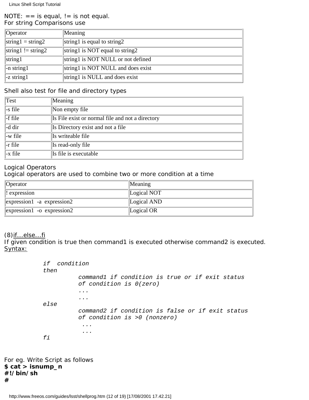#### NOTE:  $=$  is equal,  $!=$  is not equal. For string Comparisons use

| $\sqrt{\frac{1}{2}}$                    | Meaning                             |
|-----------------------------------------|-------------------------------------|
| $\vert \text{string1} = \text{string2}$ | string 1 is equal to string 2       |
| string $l =$ string $2 \pm \sqrt{2}$    | string 1 is NOT equal to string $2$ |
| $\vert$ string1                         | string1 is NOT NULL or not defined  |
| $\vert$ -n string 1                     | string1 is NOT NULL and does exist  |
| $-z \, string1$                         | string1 is NULL and does exist      |

#### Shell also test for file and directory types

| Test                            | Meaning                                          |
|---------------------------------|--------------------------------------------------|
| $\left  \cdot \right $ s file   | Non empty file                                   |
| $\sqrt{\frac{1}{1}}$ file       | Is File exist or normal file and not a directory |
| $-d$ dir                        | Is Directory exist and not a file                |
| $\overline{\phantom{a}}$ w file | Is writeable file                                |
| $-$ r file                      | Is read-only file                                |
| -x file                         | Is file is executable                            |

#### Logical Operators Logical operators are used to combine two or more condition at a time

| $\sqrt{\frac{1}{2}}$ Operator          | Meaning     |
|----------------------------------------|-------------|
| $\parallel$ ! expression               | Logical NOT |
| $\left $ expression 1 - a expression 2 | Logical AND |
| $\left $ expression 1 - o expression 2 | Logical OR  |

#### (8)*if...else...fi*

If given condition is true then command1 is executed otherwise command2 is executed. Syntax:

```
 if condition 
         then
                command1 if condition is true or if exit status
                of condition is 0(zero)
 ...
 ... 
         else
                command2 if condition is false or if exit status
                of condition is >0 (nonzero)
 ...
 ... 
         fi
```
For eg. Write Script as follows **\$ cat > isnump\_n #!/bin/sh #**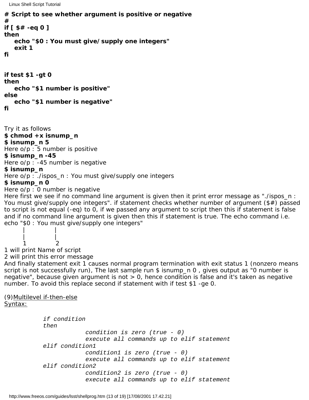```
# Script to see whether argument is positive or negative
#
if [ $# -eq 0 ]
then
    echo "$0 : You must give/supply one integers"
    exit 1
fi
```

```
if test $1 -gt 0
then
    echo "$1 number is positive"
else
    echo "$1 number is negative"
fi
```
Try it as follows **\$ chmod +x isnump\_n**

**\$ isnump\_n 5**

Here  $o/p : 5$  number is positive

**\$ isnump\_n -45**

Here  $o/p$  : -45 number is negative

#### **\$ isnump\_n**

Here o/p : ./ispos\_n : You must give/supply one integers

#### **\$ isnump\_n 0**

Here o/p : 0 number is negative

Here first we see if no command line argument is given then it print error message as "./ispos\_n : You must give/supply one integers". if statement checks whether number of argument (\$#) passed to script is not equal (-eq) to 0, if we passed any argument to script then this if statement is false and if no command line argument is given then this if statement is true. The echo command i.e. echo "\$0 : You must give/supply one integers"

```
 | |
 | |
 1 2
```
1 will print Name of script

2 will print this error message

And finally statement exit 1 causes normal program termination with exit status 1 (nonzero means script is not successfully run), The last sample run \$ isnump\_n 0, gives output as "0 number is negative", because given argument is not > 0, hence condition is false and it's taken as negative number. To avoid this replace second if statement with if test \$1 -ge 0.

```
(9)Multilevel if-then-else
Syntax:
```

```
 if condition
 then
             condition is zero (true - 0)
             execute all commands up to elif statement
 elif condition1
             condition1 is zero (true - 0)
             execute all commands up to elif statement 
 elif condition2
             condition2 is zero (true - 0)
             execute all commands up to elif statement
```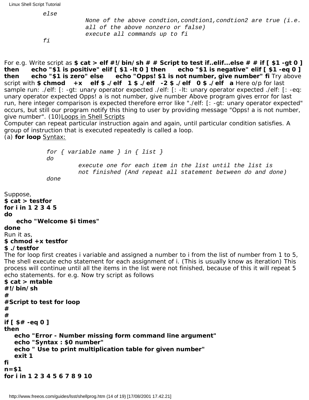```
 else
             None of the above condtion,condtion1,condtion2 are true (i.e. 
             all of the above nonzero or false)
             execute all commands up to fi
f_1
```
For e.g. Write script as **\$ cat > elf #!/bin/sh # # Script to test if..elif...else # # if [ \$1 -gt 0 ] then echo "\$1 is positive" elif [ \$1 -lt 0 ] then echo "\$1 is negative" elif [ \$1 -eq 0 ] then** echo "\$1 is zero" else echo "Opps! \$1 is not number, give number" fi Try above script with **\$ chmod +x elf \$ ./elf 1 \$ ./elf -2 \$ ./elf 0 \$ ./elf a** Here o/p for last sample run: ./elf: [: -gt: unary operator expected ./elf: [: -lt: unary operator expected ./elf: [: -eq: unary operator expected Opps! a is not number, give number Above program gives error for last run, here integer comparison is expected therefore error like "./elf: [: -gt: unary operator expected" occurs, but still our program notify this thing to user by providing message "Opps! a is not number, give number". (10)*Loops in Shell Scripts*

Computer can repeat particular instruction again and again, until particular condition satisfies. A group of instruction that is executed repeatedly is called a loop.

(a) **for loop** Syntax:

```
for { variable name } in { list }
 do
          execute one for each item in the list until the list is
          not finished (And repeat all statement between do and done)
 done
```

```
Suppose,
$ cat > testfor
for i in 1 2 3 4 5
do
     echo "Welcome $i times"
done
Run it as,
$ chmod +x testfor
$ ./testfor
The for loop first creates i variable and assigned a number to i from the list of number from 1 to 5,
The shell execute echo statement for each assignment of i. (This is usually know as iteration) This
process will continue until all the items in the list were not finished, because of this it will repeat 5
echo statements. for e.g. Now try script as follows
$ cat > mtable
#!/bin/sh
#
#Script to test for loop
#
#
if [ $# -eq 0 ]
then
    echo "Error - Number missing form command line argument"
    echo "Syntax : $0 number"
    echo " Use to print multiplication table for given number"
    exit 1
fi
n=$1
for i in 1 2 3 4 5 6 7 8 9 10
```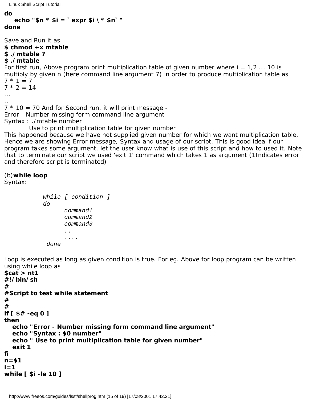#### **do**

### **echo "\$n \* \$i = `expr \$i \\* \$n`"**

**done**

Save and Run it as **\$ chmod +x mtable \$ ./mtable 7**

#### **\$ ./mtable**

For first run, Above program print multiplication table of given number where  $i = 1, 2, \ldots$  10 is multiply by given n (here command line argument 7) in order to produce multiplication table as  $7 * 1 = 7$ 

 $7 * 2 = 14$ 

... ..

 $7 * 10 = 70$  And for Second run, it will print message -Error - Number missing form command line argument Syntax : ./mtable number

Use to print multiplication table for given number

This happened because we have not supplied given number for which we want multiplication table, Hence we are showing Error message, Syntax and usage of our script. This is good idea if our program takes some argument, let the user know what is use of this script and how to used it. Note that to terminate our script we used 'exit 1' command which takes 1 as argument (1Indicates error and therefore script is terminated)

#### (b)**while loop**

#### Syntax:

```
 while [ condition ]
           do
                 command1
                 command2
                 command3
 ..
                 ....
            done
```
Loop is executed as long as given condition is true. For eg. Above for loop program can be written using while loop as

```
$cat > nt1
#!/bin/sh
#
#Script to test while statement
#
#
if [ $# -eq 0 ]
then
   echo "Error - Number missing form command line argument"
   echo "Syntax : $0 number"
   echo " Use to print multiplication table for given number"
   exit 1
fi
n=$1
i=1
while [ $i -le 10 ]
```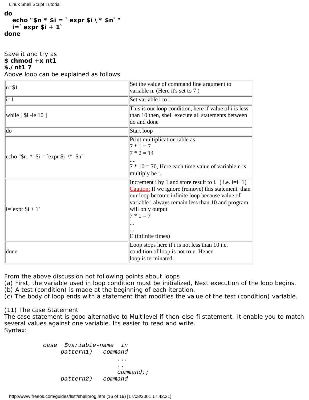#### **do**

```
 echo "$n * $i = `expr $i \* $n`"
   i=`expr $i + 1`
done
```
#### Save it and try as **\$ chmod +x nt1 \$./nt1 7** Above loop can be explained as follows

| $ n=$ \$1                               | Set the value of command line argument to<br>variable n. (Here it's set to 7)                                                                                                                                                                                                 |  |
|-----------------------------------------|-------------------------------------------------------------------------------------------------------------------------------------------------------------------------------------------------------------------------------------------------------------------------------|--|
| $\overline{\mathbf{i}} = 1$             | Set variable i to 1                                                                                                                                                                                                                                                           |  |
| while $[$i - le 10]$                    | This is our loop condition, here if value of i is less<br>than 10 then, shell execute all statements between<br>do and done                                                                                                                                                   |  |
| do                                      | Start loop                                                                                                                                                                                                                                                                    |  |
| echo "\$n * \$i = `expr \$i \* \$n`"    | Print multiplication table as<br>$7 * 1 = 7$<br>$7 * 2 = 14$<br>$7 * 10 = 70$ , Here each time value of variable n is<br>multiply be i.                                                                                                                                       |  |
| $\vert i = \text{expr } $i + 1 \rangle$ | Increment i by 1 and store result to i. (i.e. $i=i+1$ )<br>Caution: If we ignore (remove) this statement than<br>our loop become infinite loop because value of<br>variable i always remain less than 10 and program<br>will only output<br>$7 * 1 = 7$<br>E (infinite times) |  |
| done                                    | Loop stops here if i is not less than 10 i.e.<br>condition of loop is not true. Hence<br>loop is terminated.                                                                                                                                                                  |  |

From the above discussion not following points about loops

- (a) First, the variable used in loop condition must be initialized, Next execution of the loop begins.
- (b) A test (condition) is made at the beginning of each iteration.
- (c) The body of loop ends with a statement that modifies the value of the test (condition) variable.

#### (11) *The case Statement*

The case statement is good alternative to Multilevel if-then-else-fi statement. It enable you to match several values against one variable. Its easier to read and write. Syntax:

```
 case $variable-name in
         pattern1) command
 ...
 ..
                  command;;
         pattern2) command
```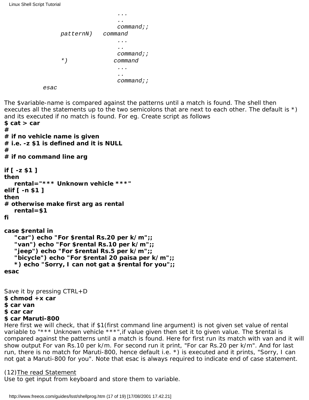```
 ...
 ..
          command;;
      patternN) command
 ...
 ..
           command;;
      *) command
 ...
 ..
           command;;
```
esac

The \$variable-name is compared against the patterns until a match is found. The shell then executes all the statements up to the two semicolons that are next to each other. The default is \*) and its executed if no match is found. For eg. Create script as follows **\$ cat > car**

```
#
# if no vehicle name is given
# i.e. -z $1 is defined and it is NULL
#
# if no command line arg
if [ -z $1 ]
then
    rental="*** Unknown vehicle ***"
elif [ -n $1 ]
then
# otherwise make first arg as rental
    rental=$1
fi
case $rental in
    "car") echo "For $rental Rs.20 per k/m";;
    "van") echo "For $rental Rs.10 per k/m";;
    "jeep") echo "For $rental Rs.5 per k/m";;
    "bicycle") echo "For $rental 20 paisa per k/m";;
    *) echo "Sorry, I can not gat a $rental for you";;
```
**esac**

Save it by pressing CTRL+D **\$ chmod +x car \$ car van \$ car car \$ car Maruti-800**

Here first we will check, that if \$1(first command line argument) is not given set value of rental variable to "\*\*\* Unknown vehicle \*\*\*", if value given then set it to given value. The \$rental is compared against the patterns until a match is found. Here for first run its match with van and it will show output For van Rs.10 per k/m. For second run it print, "For car Rs.20 per k/m". And for last run, there is no match for Maruti-800, hence default i.e. \*) is executed and it prints, "Sorry, I can not gat a Maruti-800 for you". Note that esac is always required to indicate end of case statement.

#### (12)*The read Statement*

Use to get input from keyboard and store them to variable.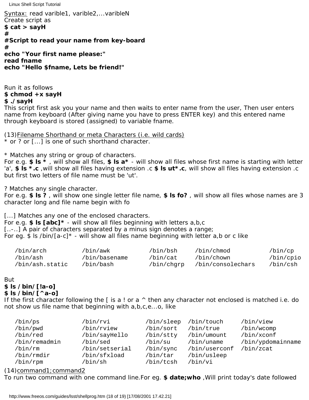Syntax: *read varible1, varible2,...varibleN* Create script as **\$ cat > sayH # #Script to read your name from key-board # echo "Your first name please:" read fname echo "Hello \$fname, Lets be friend!"**

Run it as follows **\$ chmod +x sayH \$ ./sayH**

This script first ask you your name and then waits to enter name from the user, Then user enters name from keyboard (After giving name you have to press ENTER key) and this entered name through keyboard is stored (assigned) to variable fname.

(13)*Filename Shorthand or meta Characters (i.e. wild cards)* \* or ? or [...] is one of such shorthand character.

\* Matches any string or group of characters.

For e.g. **\$ ls \*** , will show all files, **\$ ls a\*** - will show all files whose first name is starting with letter 'a', **\$ ls \*.c** ,will show all files having extension .c **\$ ls ut\*.c**, will show all files having extension .c but first two letters of file name must be 'ut'.

? Matches any single character.

For e.g. **\$ ls ?** , will show one single letter file name, **\$ ls fo?** , will show all files whose names are 3 character long and file name begin with fo

[...] Matches any one of the enclosed characters. For e.g. **\$ ls [abc]\*** - will show all files beginning with letters a,b,c [....] A pair of characters separated by a minus sign denotes a range; For eg.  $\sin(\tan(\arccos(1)) - \arccos(1))$  is show all files name beginning with letter a, b or c like

| /bin/arch       | /bin/awk      | /bin/bsh   | /bin/chmod        | /bin/cp   |
|-----------------|---------------|------------|-------------------|-----------|
| /bin/ash        | /bin/basename | /bin/cat   | /bin/chown        | /bin/cpio |
| /bin/ash.static | /bin/bash     | /bin/chqrp | /bin/consolechars | /bin/csh  |

#### But

**\$ ls /bin/[!a-o]**

**\$ ls /bin/[^a-o]**

If the first character following the  $\lceil$  is a ! or a  $\land$  then any character not enclosed is matched i.e. do not show us file name that beginning with a,b,c,e...o, like

| /bin/ps       | /bin/rvi       | /bin/sleep | /bin/touch    | /bin/view         |
|---------------|----------------|------------|---------------|-------------------|
| /bin/pwd      | /bin/rview     | /bin/sort  | /bin/true     | /bin/wcomp        |
| /bin/red      | /bin/sayHello  | /bin/stty  | /bin/umount   | /bin/xconf        |
| /bin/remadmin | /bin/sed       | /bin/su    | /bin/uname    | /bin/ypdomainname |
| /bin/rm       | /bin/setserial | /bin/sync  | /bin/userconf | /bin/zcat         |
| /bin/rmdir    | /bin/sfxload   | /bin/tar   | /bin/usleep   |                   |
| /bin/rpm      | /bin/sh        | /bin/tcsh  | /bin/vi       |                   |

#### (14)*command1;command2*

To run two command with one command line.For eg. **\$ date;who** ,Will print today's date followed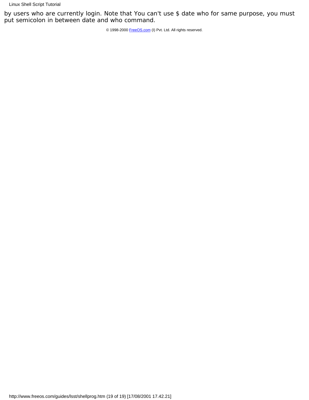by users who are currently login. Note that You can't use \$ date who for same purpose, you must put semicolon in between date and who command.

© 1998-2000 [FreeOS.com](http://www.freeos.com/) (I) Pvt. Ltd. All rights reserved.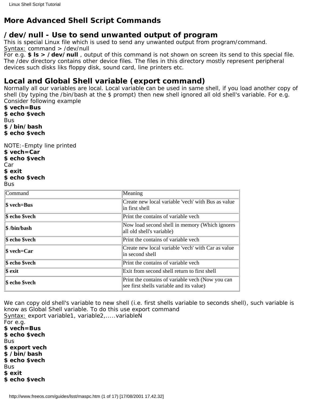### <span id="page-29-0"></span>**More Advanced Shell Script Commands**

#### **/dev/null - Use to send unwanted output of program**

This is special Linux file which is used to send any unwanted output from program/command. Syntax: *command > /dev/null*

For e.g. **\$ ls > /dev/null** , output of this command is not shown on screen its send to this special file. The /dev directory contains other device files. The files in this directory mostly represent peripheral devices such disks liks floppy disk, sound card, line printers etc.

### **Local and Global Shell variable (export command)**

Normally all our variables are local. Local variable can be used in same shell, if you load another copy of shell (by typing the /bin/bash at the \$ prompt) then new shell ignored all old shell's variable. For e.g. Consider following example

**\$ vech=Bus \$ echo \$vech** Bus **\$ /bin/bash \$ echo \$vech**

NOTE:-Empty line printed **\$ vech=Car \$ echo \$vech** Car **\$ exit \$ echo \$vech** Bus

| Command             | Meaning                                                                                      |  |
|---------------------|----------------------------------------------------------------------------------------------|--|
| $\$\text{vech}=Bus$ | Create new local variable 'vech' with Bus as value<br>lin first shell                        |  |
| \$ echo \$vech      | Print the contains of variable vech                                                          |  |
| \$ /bin/bash        | Now load second shell in memory (Which ignores<br>all old shell's variable)                  |  |
| \$\\ echo \$vech    | Print the contains of variable vech                                                          |  |
| \$ vech=Car         | Create new local variable 'vech' with Car as value<br>in second shell                        |  |
| \$\\ echo \$vech    | Print the contains of variable vech                                                          |  |
| $\ $ \$ exit        | Exit from second shell return to first shell                                                 |  |
| \$ echo \$vech      | Print the contains of variable vech (Now you can<br>see first shells variable and its value) |  |

We can copy old shell's variable to new shell (i.e. first shells variable to seconds shell), such variable is know as Global Shell variable. To do this use export command Syntax: *export variable1, variable2,.....variableN*

For e.g. **\$ vech=Bus \$ echo \$vech** Bus **\$ export vech \$ /bin/bash \$ echo \$vech** Bus **\$ exit \$ echo \$vech**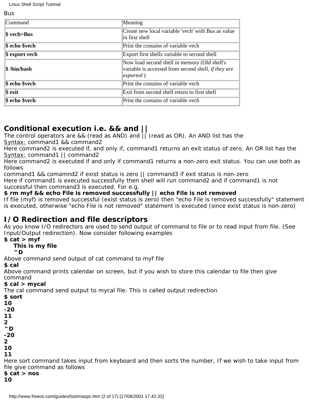Bus

| <b>Command</b>      | Meaning                                                                                                                          |  |
|---------------------|----------------------------------------------------------------------------------------------------------------------------------|--|
| $\$\text{vech}=Bus$ | Create new local variable 'vech' with Bus as value<br>lin first shell                                                            |  |
| \$\\ echo \$vech    | Print the contains of variable vech                                                                                              |  |
| \$ export vech      | Export first shells variable to second shell                                                                                     |  |
| \$ /bin/bash        | Now load second shell in memory (Old shell's<br>variable is accessed from second shell, <i>if they are</i><br>$ expected\rangle$ |  |
| \$ echo \$vech      | Print the contains of variable vech                                                                                              |  |
| $\ $ \$ exit        | Exit from second shell return to first shell                                                                                     |  |
| \$\\ echo \$vech    | Print the contains of variable vech                                                                                              |  |

### **Conditional execution i.e. && and ||**

The control operators are && (read as AND) and || (read as OR). An AND list has the Syntax: command1 && command2

Here command2 is executed if, and only if, command1 returns an exit status of zero. An OR list has the Syntax: command1 || command2

Here command2 is executed if and only if command1 returns a non-zero exit status. You can use both as follows

command1 && comamnd2 if exist status is zero || command3 if exit status is non-zero

Here if command1 is executed successfully then shell will run command2 and if command1 is not successful then command3 is executed. For e.g.

**\$ rm myf && echo File is removed successfully || echo File is not removed**

If file (myf) is removed successful (exist status is zero) then "echo File is removed successfully" statement is executed, otherwise "echo File is not removed" statement is executed (since exist status is non-zero)

### **I/O Redirection and file descriptors**

As you know I/O redirectors are used to send output of command to file or to read input from file. (See Input/Output redirection). Now consider following examples

#### **\$ cat > myf**

 **This is my file**  $^{\wedge}$ D

Above command send output of cat command to myf file

#### **\$ cal**

Above command prints calendar on screen, but if you wish to store this calendar to file then give command

#### **\$ cal > mycal**

The cal command send output to mycal file. This is called output redirection

**\$ sort**

- **10**
- **-20**
- **11**
- **2 ^D**
- **-20**
- **2**
- **10**

#### **11**

Here sort command takes input from keyboard and then sorts the number, If we wish to take input from file give command as follows

- **\$ cat > nos**
- **10**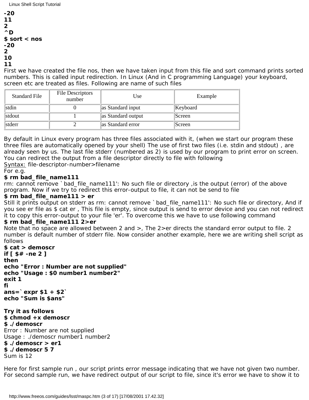```
Linux Shell Script Tutorial
```

```
-20
11
2
^D
$ sort < nos
-20
2
10
11
```
First we have created the file nos, then we have taken input from this file and sort command prints sorted numbers. This is called input redirection. In Linux (And in C programming Language) your keyboard, screen etc are treated as files. Following are name of such files

| <b>Standard File</b> | File Descriptors<br>number | Use                | Example  |
|----------------------|----------------------------|--------------------|----------|
| stdin                |                            | as Standard input  | Keyboard |
| stdout               |                            | as Standard output | Screen   |
| stderr               |                            | as Standard error  | Screen   |

By default in Linux every program has three files associated with it, (when we start our program these three files are automatically opened by your shell) The use of first two files (i.e. stdin and stdout) , are already seen by us. The last file stderr (numbered as 2) is used by our program to print error on screen. You can redirect the output from a file descriptor directly to file with following Syntax: file-descriptor-number>filename

For e.g.

#### **\$ rm bad\_file\_name111**

rm: cannot remove `bad\_file\_name111': No such file or directory ,is the output (error) of the above program. Now if we try to redirect this error-output to file, it can not be send to file

#### **\$ rm bad\_file\_name111 > er**

Still it prints output on stderr as rm: cannot remove `bad\_file\_name111': No such file or directory, And if you see er file as \$ cat er , This file is empty, since output is send to error device and you can not redirect it to copy this error-output to your file 'er'. To overcome this we have to use following command

#### **\$ rm bad\_file\_name111 2>er**

Note that no space are allowed between 2 and >, The 2>er directs the standard error output to file. 2 number is default number of stderr file. Now consider another example, here we are writing shell script as follows

```
$ cat > demoscr
if [ $# -ne 2 ]
then
echo "Error : Number are not supplied"
echo "Usage : $0 number1 number2"
exit 1
fi
ans=`expr $1 + $2`
echo "Sum is $ans"
Try it as follows
$ chmod +x demoscr
$ ./demoscr
Error : Number are not supplied
Usage : ./demoscr number1 number2
$ ./demoscr > er1
$ ./demoscr 5 7
```

```
Sum is 12
```
Here for first sample run , our script prints error message indicating that we have not given two number. For second sample run, we have redirect output of our script to file, since it's error we have to show it to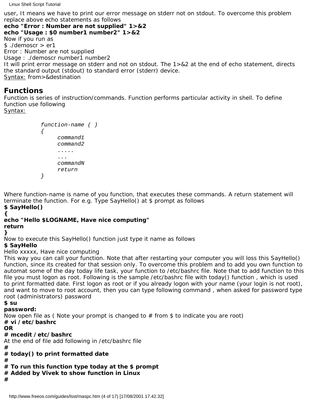user, It means we have to print our error message on stderr not on stdout. To overcome this problem replace above echo statements as follows

**echo "Error : Number are not supplied" 1>&2 echo "Usage : \$0 number1 number2" 1>&2** Now if you run as \$ ./demoscr > er1 Error : Number are not supplied Usage : ./demoscr number1 number2 It will print error message on stderr and not on stdout. The 1>&2 at the end of echo statement, directs the standard output (stdout) to standard error (stderr) device. Syntax: *from>&destination*

#### **Functions**

Function is series of instruction/commands. Function performs particular activity in shell. To define function use following

#### Syntax:

```
 function-name ( )
\{ command1
               command2
               .....
               ...
               commandN
               return
 }
```
Where function-name is name of you function, that executes these commands. A return statement will terminate the function. For e.g. Type SayHello() at \$ prompt as follows **\$ SayHello()**

#### **{**

#### **echo "Hello \$LOGNAME, Have nice computing" return**

#### **}**

Now to execute this SayHello() function just type it name as follows

#### **\$ SayHello**

#### Hello xxxxx, Have nice computing

This way you can call your function. Note that after restarting your computer you will loss this SayHello() function, since its created for that session only. To overcome this problem and to add you own function to automat some of the day today life task, your function to /etc/bashrc file. Note that to add function to this file you must logon as root. Following is the sample /etc/bashrc file with today() function , which is used to print formatted date. First logon as root or if you already logon with your name (your login is not root), and want to move to root account, then you can type following command , when asked for password type root (administrators) password

#### **\$ su**

#### **password:**

Now open file as (Note your prompt is changed to  $#$  from  $\$$  to indicate you are root) **# vi /etc/bashrc**

#### **OR**

#### **# mcedit /etc/bashrc**

At the end of file add following in /etc/bashrc file

**#**

```
# today() to print formatted date
```
**#**

#### **# To run this function type today at the \$ prompt**

- **# Added by Vivek to show function in Linux**
- **#**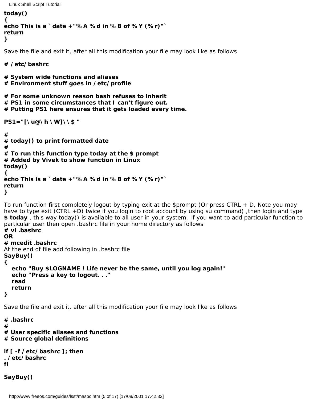```
today()
{
echo This is a `date +"%A %d in %B of %Y (%r)"`
return
}
```
Save the file and exit it, after all this modification your file may look like as follows

**# /etc/bashrc**

```
# System wide functions and aliases
# Environment stuff goes in /etc/profile
```
**# For some unknown reason bash refuses to inherit # PS1 in some circumstances that I can't figure out. # Putting PS1 here ensures that it gets loaded every time.**

```
PS1="[\u@\h \W]\\$ "
```
**# # today() to print formatted date # # To run this function type today at the \$ prompt # Added by Vivek to show function in Linux today() {** echo This is a  $\hat{}$  date +"%A %d in %B of %Y (%r)" $\hat{}$ **return }**

To run function first completely logout by typing exit at the \$prompt (Or press CTRL + D, Note you may have to type exit (CTRL +D) twice if you login to root account by using su command), then login and type **\$ today** , this way today() is available to all user in your system, If you want to add particular function to particular user then open .bashrc file in your home directory as follows

```
# vi .bashrc
OR
# mcedit .bashrc
At the end of file add following in .bashrc file
SayBuy()
{
   echo "Buy $LOGNAME ! Life never be the same, until you log again!"
```
 **echo "Press a key to logout. . ." read return }**

Save the file and exit it, after all this modification your file may look like as follows

```
# .bashrc
#
# User specific aliases and functions
# Source global definitions
if [ -f /etc/bashrc ]; then
. /etc/bashrc
```

```
fi
```

```
SayBuy()
```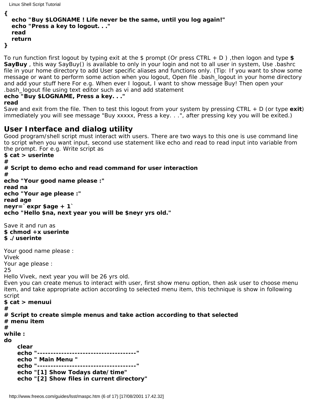```
{
   echo "Buy $LOGNAME ! Life never be the same, until you log again!"
   echo "Press a key to logout. . ."
   read
   return
}
```
To run function first logout by typing exit at the \$ prompt (Or press CTRL + D ) ,then logon and type **\$ SayBuy**, this way SayBuy() is available to only in your login and not to all user in system, Use .bashrc file in your home directory to add User specific aliases and functions only. (Tip: If you want to show some message or want to perform some action when you logout, Open file .bash\_logout in your home directory and add your stuff here For e.g. When ever I logout, I want to show message Buy! Then open your .bash\_logout file using text editor such as vi and add statement

#### **echo "Buy \$LOGNAME, Press a key. . ."**

#### **read**

Save and exit from the file. Then to test this logout from your system by pressing CTRL + D (or type **exit**) immediately you will see message "Buy xxxxx, Press a key. . .", after pressing key you will be exited.)

#### **User Interface and dialog utility**

Good program/shell script must interact with users. There are two ways to this one is use command line to script when you want input, second use statement like echo and read to read input into variable from the prompt. For e.g. Write script as

```
$ cat > userinte
#
# Script to demo echo and read command for user interaction
#
echo "Your good name please :"
read na
echo "Your age please :"
read age
neyr=`expr $age + 1`
echo "Hello $na, next year you will be $neyr yrs old."
Save it and run as
$ chmod +x userinte
$ ./userinte
Your good name please :
Vivek
Your age please :
25
Hello Vivek, next year you will be 26 yrs old.
Even you can create menus to interact with user, first show menu option, then ask user to choose menu
item, and take appropriate action according to selected menu item, this technique is show in following
script
$ cat > menuui
#
# Script to create simple menus and take action according to that selected
# menu item
#
while :
do
     clear
     echo "-------------------------------------"
     echo " Main Menu "
     echo "-------------------------------------"
     echo "[1] Show Todays date/time"
     echo "[2] Show files in current directory"
```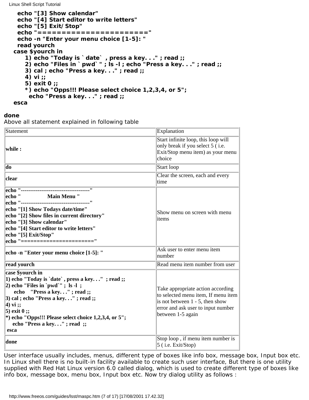```
 echo "[3] Show calendar"
  echo "[4] Start editor to write letters"
  echo "[5] Exit/Stop"
  echo "======================="
  echo -n "Enter your menu choice [1-5]: "
  read yourch
 case $yourch in
    1) echo "Today is `date` , press a key. . ." ; read ;;
    2) echo "Files in `pwd`" ; ls -l ; echo "Press a key. . ." ; read ;;
    3) cal ; echo "Press a key. . ." ; read ;;
    4) vi ;;
    5) exit 0 ;;
    *) echo "Opps!!! Please select choice 1,2,3,4, or 5";
     echo "Press a key. . ." ; read ;;
```
 **esca**

#### **done**

Above all statement explained in following table

| Statement                                                                                                                                                                                                                                                                                                                        | Explanation                                                                                                                                                            |
|----------------------------------------------------------------------------------------------------------------------------------------------------------------------------------------------------------------------------------------------------------------------------------------------------------------------------------|------------------------------------------------------------------------------------------------------------------------------------------------------------------------|
| $ $ while $\colon$                                                                                                                                                                                                                                                                                                               | Start infinite loop, this loop will<br>only break if you select 5 (i.e.<br>Exit/Stop menu item) as your menu<br>choice                                                 |
| do                                                                                                                                                                                                                                                                                                                               | Start loop                                                                                                                                                             |
| <b>clear</b>                                                                                                                                                                                                                                                                                                                     | Clear the screen, each and every<br>ltime                                                                                                                              |
| echo"<br><b>Main Menu</b> "<br>echo "[1] Show Todays date/time"<br>echo "[2] Show files in current directory"<br>echo "[3] Show calendar"<br>echo "[4] Start editor to write letters"<br>echo "[5] Exit/Stop"                                                                                                                    | Show menu on screen with menu<br>litems                                                                                                                                |
| echo -n "Enter your menu choice [1-5]: "                                                                                                                                                                                                                                                                                         | Ask user to enter menu item<br>number                                                                                                                                  |
| read yourch                                                                                                                                                                                                                                                                                                                      | Read menu item number from user                                                                                                                                        |
| case \$yourch in<br>$ 1\rangle$ echo "Today is `date`, press a key"; read;<br>$ 2\rangle$ echo "Files in `pwd`"; ls -l;<br>echo "Press a key"; read;<br>3) cal ; echo "Press a key" ; read ;;<br>$ 4)$ vi :;<br>$ 5)$ exit 0 ;;<br>$ *)$ echo "Opps!!! Please select choice 1,2,3,4, or 5";<br>echo "Press a key"; read;<br>esca | Take appropriate action according<br>to selected menu item, If menu item<br>is not between 1 - 5, then show<br>error and ask user to input number<br>between 1-5 again |
| done                                                                                                                                                                                                                                                                                                                             | Stop loop, if menu item number is<br>$5$ (i.e. Exit/Stop)                                                                                                              |

User interface usually includes, menus, different type of boxes like info box, message box, Input box etc. In Linux shell there is no built-in facility available to create such user interface, But there is one utility supplied with Red Hat Linux version 6.0 called dialog, which is used to create different type of boxes like info box, message box, menu box, Input box etc. Now try dialog utility as follows :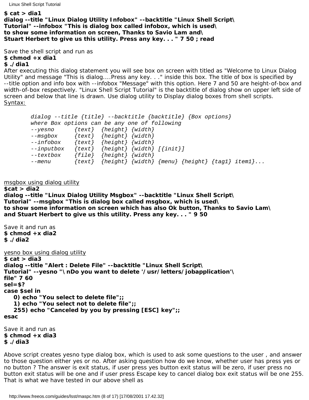#### **\$ cat > dia1 dialog --title "Linux Dialog Utility Infobox" --backtitle "Linux Shell Script\ Tutorial" --infobox "This is dialog box called infobox, which is used\ to show some information on screen, Thanks to Savio Lam and\ Stuart Herbert to give us this utility. Press any key. . . " 7 50 ; read**

Save the shell script and run as

#### **\$ chmod +x dia1**

#### **\$ ./dia1**

After executing this dialog statement you will see box on screen with titled as "Welcome to Linux Dialog Utility" and message "This is dialog....Press any key. . ." inside this box. The title of box is specified by --title option and info box with --infobox "Message" with this option. Here 7 and 50 are height-of-box and width-of-box respectively. "Linux Shell Script Tutorial" is the backtitle of dialog show on upper left side of screen and below that line is drawn. Use dialog utility to Display dialog boxes from shell scripts. Syntax:

```
dialog --title \{title\} --backtitle \{backtitle\} \{Box\} where Box options can be any one of following
       --yesno {text} {height} {width}
       --msgbox {text} {height} {width}
       --infobox {text} {height} {width}
 --inputbox {text} {height} {width} [{init}]
 --textbox {file} {height} {width}
       --menu \{text\} \{text\} \{begin\} \{begin\} \{begin\} \{width\} \{mean\} \{height\} \{tag1\} \{tem1\}...
```
msgbox using dialog utility

**\$cat > dia2 dialog --title "Linux Dialog Utility Msgbox" --backtitle "Linux Shell Script\ Tutorial" --msgbox "This is dialog box called msgbox, which is used\ to show some information on screen which has also Ok button, Thanks to Savio Lam\ and Stuart Herbert to give us this utility. Press any key. . . " 9 50**

Save it and run as **\$ chmod +x dia2 \$ ./dia2**

yesno box using dialog utility

```
$ cat > dia3
dialog --title "Alert : Delete File" --backtitle "Linux Shell Script\
Tutorial" --yesno "\nDo you want to delete '/usr/letters/jobapplication'\
file" 7 60
sel=$?
case $sel in
    0) echo "You select to delete file";;
    1) echo "You select not to delete file";;
    255) echo "Canceled by you by pressing [ESC] key";;
esac
```

```
Save it and run as
$ chmod +x dia3
$ ./dia3
```
Above script creates yesno type dialog box, which is used to ask some questions to the user , and answer to those question either yes or no. After asking question how do we know, whether user has press yes or no button ? The answer is exit status, if user press yes button exit status will be zero, if user press no button exit status will be one and if user press Escape key to cancel dialog box exit status will be one 255. That is what we have tested in our above shell as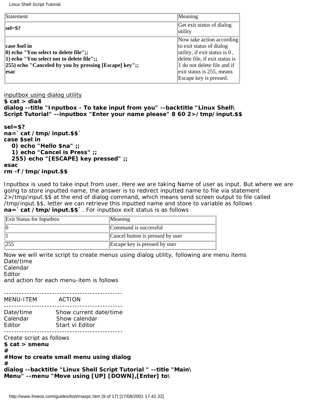| Statement                                                                                                                                                                              | Meaning                                                                                                                                                                                                                    |
|----------------------------------------------------------------------------------------------------------------------------------------------------------------------------------------|----------------------------------------------------------------------------------------------------------------------------------------------------------------------------------------------------------------------------|
| $ sel=$ \$?                                                                                                                                                                            | Get exit status of dialog<br>utility                                                                                                                                                                                       |
| case \$sel in<br>$\ket{0}$ echo "You select to delete file";;<br>$ 1\rangle$ echo "You select not to delete file";;<br>[255] echo "Canceled by you by pressing [Escape] key";<br>lesac | Now take action according<br>to exit status of dialog<br>utility, if exit status is $0$ ,<br>delete file, if exit status is<br>1 do not delete file and if<br>$\alpha$ exit status is 255, means<br>Escape key is pressed. |

inputbox using dialog utility

```
$ cat > dia4
dialog --title "Inputbox - To take input from you" --backtitle "Linux Shell\
Script Tutorial" --inputbox "Enter your name please" 8 60 2>/tmp/input.$$
```

```
sel=$?
na=`cat /tmp/input.$$`
case $sel in
   0) echo "Hello $na" ;;
   1) echo "Cancel is Press" ;;
   255) echo "[ESCAPE] key pressed" ;;
esac
rm -f /tmp/input.$$
```
Inputbox is used to take input from user, Here we are taking Name of user as input. But where we are going to store inputted name, the answer is to redirect inputted name to file via statement 2>/tmp/input.\$\$ at the end of dialog command, which means send screen output to file called /tmp/input.\$\$, letter we can retrieve this inputted name and store to variable as follows **na=`cat /tmp/input.\$\$`**. For inputbox exit status is as follows

| <b>Exit Status for Inputbox</b> | Meaning                          |
|---------------------------------|----------------------------------|
|                                 | Command is successful            |
|                                 | Cancel button is pressed by user |
| 255                             | Escape key is pressed by user    |

Now we will write script to create menus using dialog utility, following are menu items Date/time

Calendar

Editor

and action for each menu-item is follows

----------------------------------------------- MENU-ITEM ACTION ----------------------------------------------- Date/time Show current date/time Calendar Show calendar Editor Start vi Editor

-----------------------------------------------

Create script as follows

**\$ cat > smenu**

**#**

**#How to create small menu using dialog**

**#**

**dialog --backtitle "Linux Shell Script Tutorial " --title "Main\ Menu" --menu "Move using [UP] [DOWN],[Enter] to\**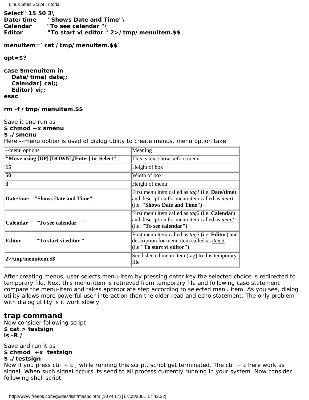| <b>Select" 15 50 3\</b> |                                            |
|-------------------------|--------------------------------------------|
| Date/time               | "Shows Date and Time" $\setminus$          |
| <b>Calendar</b>         | "To see calendar " $\setminus$             |
| Editor                  | "To start vi editor " 2>/tmp/menuitem.\$\$ |

**menuitem=`cat /tmp/menuitem.\$\$`**

**opt=\$?**

**case \$menuitem in Date/time) date;; Calendar) cal;; Editor) vi;; esac**

#### **rm -f /tmp/menuitem.\$\$**

Save it and run as

#### **\$ chmod +x smenu**

#### **\$ ./smenu**

Here --menu option is used of dialog utility to create menus, menu option take

| --menu options                              | Meaning                                                                                                                                            |
|---------------------------------------------|----------------------------------------------------------------------------------------------------------------------------------------------------|
| "Move using [UP] [DOWN], [Enter] to Select" | This is text show before menu                                                                                                                      |
| 15                                          | Height of box                                                                                                                                      |
| 50                                          | Width of box                                                                                                                                       |
| 3                                           | Height of menu                                                                                                                                     |
| Date/time  "Shows Date and Time"            | First menu item called as $tag 1$ (i.e. <b>Date/time</b> )<br>and description for menu item called as <i>item1</i><br>(i.e. "Shows Date and Time") |
| "<br> Calendar<br>"To see calendar"         | First menu item called as tag2 (i.e. Calendar)<br>and description for menu item called as <i>item2</i><br>(i.e. "To see calendar")                 |
| "To start vi editor"<br>Editor              | First menu item called as <u>tag3</u> (i.e. <b>Editor</b> ) and<br>description for menu item called as <i>item3</i><br>(i.e. "To start vi editor") |
| $ 2>$ /tmp/menuitem.\$\$                    | Send sleeted menu item (tag) to this temporary<br>file                                                                                             |

After creating menus, user selects menu-item by pressing enter key the selected choice is redirected to temporary file, Next this menu-item is retrieved from temporary file and following case statement compare the menu-item and takes appropriate step according to selected menu item. As you see, dialog utility allows more powerful user interaction then the older read and echo statement. The only problem with dialog utility is it work slowly.

#### **trap command**

Now consider following script **\$ cat > testsign ls -R /** 

Save and run it as **\$ chmod +x testsign \$ ./testsign**

Now if you press  $ctrl + c$ , while running this script, script get terminated. The ctrl + c here work as signal, When such signal occurs its send to all process currently running in your system. Now consider following shell script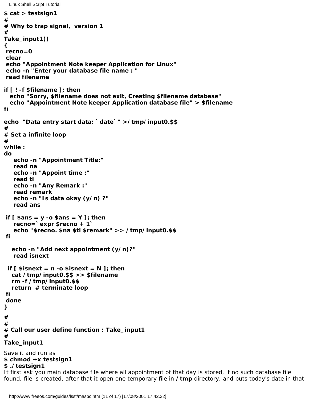```
$ cat > testsign1
#
# Why to trap signal, version 1
#
Take_input1()
{
 recno=0
 clear
 echo "Appointment Note keeper Application for Linux"
 echo -n "Enter your database file name : "
 read filename 
if [ ! -f $filename ]; then
  echo "Sorry, $filename does not exit, Creating $filename database"
  echo "Appointment Note keeper Application database file" > $filename
fi 
echo "Data entry start data: `date`" >/tmp/input0.$$
#
# Set a infinite loop
#
while :
do
    echo -n "Appointment Title:"
    read na
    echo -n "Appoint time :" 
    read ti
    echo -n "Any Remark :"
    read remark
    echo -n "Is data okay (y/n) ?"
    read ans
 if [ $ans = y -o $ans = Y ]; then
    recno=`expr $recno + 1`
    echo "$recno. $na $ti $remark" >> /tmp/input0.$$
 fi
   echo -n "Add next appointment (y/n)?"
    read isnext
  if [ $isnext = n -o $isnext = N ]; then
   cat /tmp/input0.$$ >> $filename
   rm -f /tmp/input0.$$
   return # terminate loop
 fi
 done 
}
#
#
# Call our user define function : Take_input1
#
Take_input1
Save it and run as
$ chmod +x testsign1
```
#### **\$ ./testsign1**

It first ask you main database file where all appointment of that day is stored, if no such database file found, file is created, after that it open one temporary file in **/tmp** directory, and puts today's date in that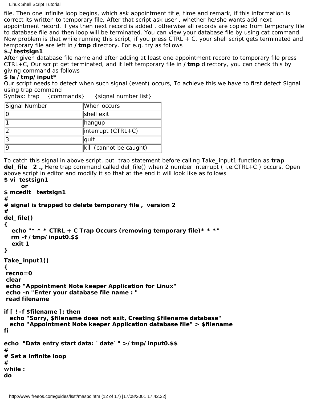file. Then one infinite loop begins, which ask appointment title, time and remark, if this information is correct its written to temporary file, After that script ask user , whether he/she wants add next appointment record, if yes then next record is added , otherwise all records are copied from temporary file to database file and then loop will be terminated. You can view your database file by using cat command. Now problem is that while running this script, if you press CTRL + C, your shell script gets terminated and temporary file are left in **/tmp** directory. For e.g. try as follows

#### **\$./testsign1**

After given database file name and after adding at least one appointment record to temporary file press CTRL+C, Our script get terminated, and it left temporary file in **/tmp** directory, you can check this by giving command as follows

#### **\$ ls /tmp/input\***

Our script needs to detect when such signal (event) occurs, To achieve this we have to first detect Signal using trap command Syntax: *trap {commands} {signal number list}*

| Signal Number         | When occurs             |
|-----------------------|-------------------------|
|                       | shell exit              |
|                       | hangup                  |
| $\overline{2}$        | $ $ interrupt (CTRL+C)  |
| $\overline{\text{3}}$ | ∣quit                   |
| 9                     | kill (cannot be caught) |

To catch this signal in above script, put *trap* statement before calling Take\_input1 function as **trap del\_file 2.,** Here trap command called del\_file() when 2 number interrupt (i.e.CTRL+C) occurs. Open above script in editor and modify it so that at the end it will look like as follows

```
$ vi testsign1
      or
$ mcedit testsign1
#
# signal is trapped to delete temporary file , version 2
#
del_file()
{
   echo "* * * CTRL + C Trap Occurs (removing temporary file)* * *"
   rm -f /tmp/input0.$$
   exit 1
}
Take_input1()
{
 recno=0
 clear
 echo "Appointment Note keeper Application for Linux"
 echo -n "Enter your database file name : "
 read filename 
if [ ! -f $filename ]; then
  echo "Sorry, $filename does not exit, Creating $filename database"
  echo "Appointment Note keeper Application database file" > $filename
fi 
echo "Data entry start data: `date`" >/tmp/input0.$$
#
# Set a infinite loop
#
while :
do
```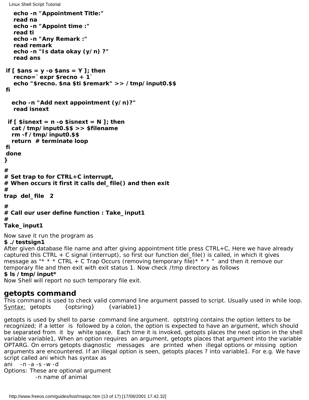```
Linux Shell Script Tutorial
```

```
 echo -n "Appointment Title:"
    read na
    echo -n "Appoint time :" 
    read ti
    echo -n "Any Remark :"
    read remark
    echo -n "Is data okay (y/n) ?"
    read ans
 if [ $ans = y -o $ans = Y ]; then
    recno=`expr $recno + 1`
    echo "$recno. $na $ti $remark" >> /tmp/input0.$$
 fi
   echo -n "Add next appointment (y/n)?"
    read isnext
  if [ $isnext = n -o $isnext = N ]; then
   cat /tmp/input0.$$ >> $filename
   rm -f /tmp/input0.$$
   return # terminate loop
 fi
 done 
}
#
# Set trap to for CTRL+C interrupt, 
# When occurs it first it calls del_file() and then exit 
#
trap del_file 2 
#
# Call our user define function : Take_input1
#
Take_input1
Now save it run the program as
```
#### **\$ ./testsign1**

After given database file name and after giving appointment title press CTRL+C, Here we have already captured this CTRL + C signal (interrupt), so first our function del\_file() is called, in which it gives message as "*\* \* \* CTRL + C Trap Occurs (removing temporary file)\* \* \* "* and then it remove our temporary file and then exit with exit status 1. Now check /tmp directory as follows **\$ ls /tmp/input\***

Now Shell will report no such temporary file exit.

#### **getopts command**

This command is used to check valid command line argument passed to script. Usually used in while loop. Syntax: *getopts {optsring} {variable1}*

getopts is used by shell to parse command line argument. optstring contains the option letters to be recognized; if a letter is followed by a colon, the option is expected to have an argument, which should be separated from it by white space. Each time it is invoked, getopts places the next option in the shell variable variable1, When an option requires an argument, getopts places that argument into the variable OPTARG. On errors getopts diagnostic messages are printed when illegal options or missing option arguments are encountered. If an illegal option is seen, getopts places ? into variable1. For e.g. We have script called ani which has syntax as

```
ani -n -a -s -w -d
```
*Options: These are optional argument*

 *-n name of animal*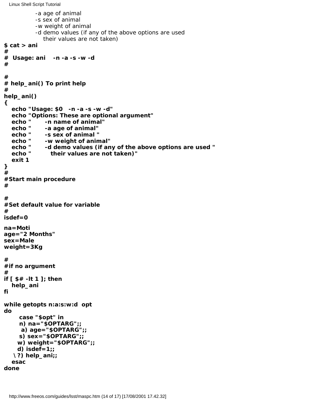```
 -a age of animal
           -s sex of animal
           -w weight of animal
           -d demo values (if any of the above options are used 
             their values are not taken)
$ cat > ani
#
# Usage: ani -n -a -s -w -d
#
#
# help_ani() To print help 
#
help_ani()
{
   echo "Usage: $0 -n -a -s -w -d"
   echo "Options: These are optional argument"
   echo " -n name of animal"
   echo " -a age of animal"
   echo " -s sex of animal "
             -w weight of animal"
   echo " -d demo values (if any of the above options are used "
   echo " their values are not taken)"
   exit 1
}
#
#Start main procedure
#
#
#Set default value for variable
#
isdef=0
na=Moti
age="2 Months"
sex=Male
weight=3Kg
#
#if no argument
#
if [ $# -lt 1 ]; then
   help_ani
fi
while getopts n:a:s:w:d opt 
do
      case "$opt" in
      n) na="$OPTARG";;
      a) age="$OPTARG";;
      s) sex="$OPTARG";;
     w) weight="$OPTARG";;
     d) isdef=1;;
    \?) help_ani;; 
   esac
done
```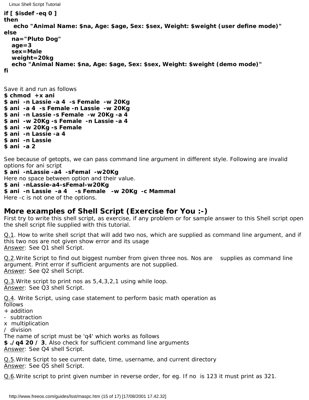```
if [ $isdef -eq 0 ] 
then
    echo "Animal Name: $na, Age: $age, Sex: $sex, Weight: $weight (user define mode)"
else
   na="Pluto Dog"
   age=3
   sex=Male
   weight=20kg
   echo "Animal Name: $na, Age: $age, Sex: $sex, Weight: $weight (demo mode)"
fi
```

```
Save it and run as follows
$ chmod +x ani
$ ani -n Lassie -a 4 -s Female -w 20Kg
$ ani -a 4 -s Female -n Lassie -w 20Kg
$ ani -n Lassie -s Female -w 20Kg -a 4 
$ ani -w 20Kg -s Female -n Lassie -a 4 
$ ani -w 20Kg -s Female 
$ ani -n Lassie -a 4 
$ ani -n Lassie 
$ ani -a 2
```
See because of getopts, we can pass command line argument in different style. Following are invalid options for ani script

**\$ ani -nLassie -a4 -sFemal -w20Kg** Here no space between option and their value. **\$ ani -nLassie-a4-sFemal-w20Kg \$ ani -n Lassie -a 4 -s Female -w 20Kg -c Mammal** Here -c is not one of the options.

#### **More examples of Shell Script (Exercise for You :-)**

First try to write this shell script, as exercise, if any problem or for sample answer to this Shell script open the shell script file supplied with this tutorial.

 $Q.1$ . How to write shell script that will add two nos, which are supplied as command line argument, and if this two nos are not given show error and its usage Answer: See Q1 shell Script.

Q.2. Write Script to find out biggest number from given three nos. Nos are supplies as command line argument. Print error if sufficient arguments are not supplied. Answer: See Q2 shell Script.

Q.3.Write script to print nos as 5,4,3,2,1 using while loop. Answer: See Q3 shell Script.

Q.4. Write Script, using case statement to perform basic math operation as follows

- + addition
- subtraction
- x multiplication
- / division

The name of script must be 'q4' which works as follows

**\$ ./q4 20 / 3**, Also check for sufficient command line arguments Answer: See Q4 shell Script.

Q.5.Write Script to see current date, time, username, and current directory Answer: See Q5 shell Script.

Q.6.Write script to print given number in reverse order, for eg. If no is 123 it must print as 321.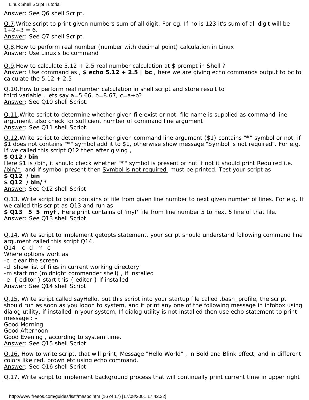Answer: See Q6 shell Script.

Q.7.Write script to print given numbers sum of all digit, For eg. If no is 123 it's sum of all digit will be  $1+2+3=6$ .

Answer: See Q7 shell Script.

Q.8.How to perform real number (number with decimal point) calculation in Linux Answer: Use Linux's bc command

 $Q.9$ . How to calculate  $5.12 + 2.5$  real number calculation at \$ prompt in Shell ? Answer: Use command as , **\$ echo 5.12 + 2.5 | bc** , here we are giving echo commands output to bc to calculate the  $5.12 + 2.5$ 

Q.10.How to perform real number calculation in shell script and store result to third variable, lets say  $a=5.66$ ,  $b=8.67$ ,  $c=a+b$ ? Answer: See Q10 shell Script.

 $Q.11$ . Write script to determine whether given file exist or not, file name is supplied as command line argument, also check for sufficient number of command line argument Answer: See Q11 shell Script.

 $Q.12$ . Write script to determine whether given command line argument (\$1) contains "\*" symbol or not, if \$1 does not contains "\*" symbol add it to \$1, otherwise show message "Symbol is not required". For e.g. If we called this script Q12 then after giving ,

#### **\$ Q12 /bin**

Here \$1 is /bin, it should check whether "\*" symbol is present or not if not it should print Required i.e. /bin/\*, and if symbol present then Symbol is not required must be printed. Test your script as

#### **\$ Q12 /bin**

**\$ Q12 /bin/\*** Answer: See Q12 shell Script

Q.13. Write script to print contains of file from given line number to next given number of lines. For e.g. If we called this script as Q13 and run as

**\$ Q13 5 5 myf**, Here print contains of 'myf' file from line number 5 to next 5 line of that file. Answer: See Q13 shell Script

Q.14. Write script to implement getopts statement, your script should understand following command line argument called this script Q14,

Q14 -c -d -m -e

Where options work as

-c clear the screen

-d show list of files in current working directory

-m start mc (midnight commander shell) , if installed

-e { editor } start this { editor } if installed

Answer: See Q14 shell Script

Q.15. Write script called sayHello, put this script into your startup file called .bash\_profile, the script should run as soon as you logon to system, and it print any one of the following message in infobox using dialog utility, if installed in your system, If dialog utility is not installed then use echo statement to print message : -

Good Morning Good Afternoon Good Evening , according to system time. Answer: See Q15 shell Script

Q.16. How to write script, that will print, Message "Hello World" , in Bold and Blink effect, and in different colors like red, brown etc using echo command. Answer: See Q16 shell Script

Q.17. Write script to implement background process that will continually print current time in upper right